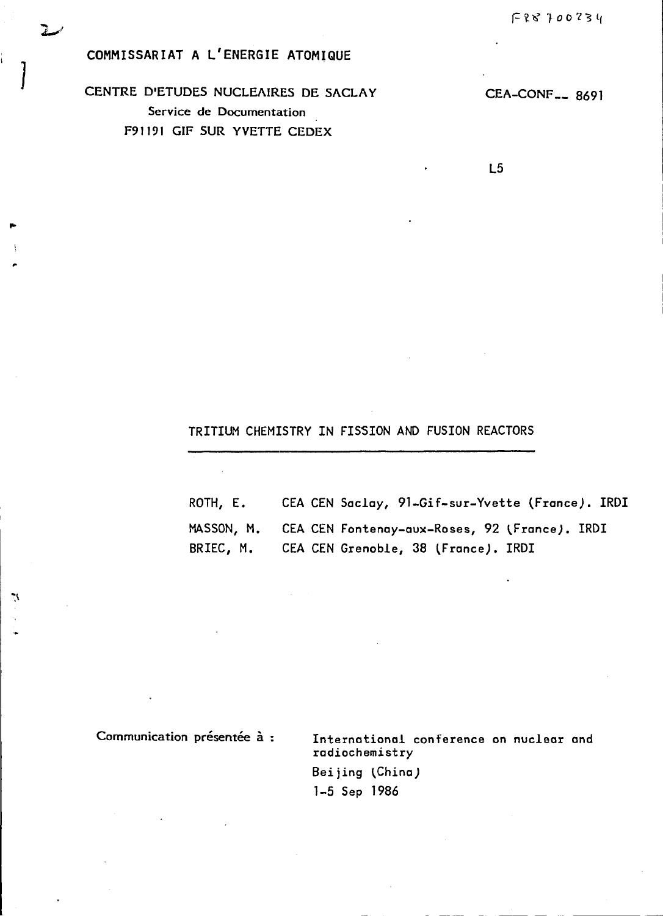COMMISSARIAT A L'ENERGIE ATOMIQUE

CENTRE D'ETUDES NUCLEAIRES DE SACLAY Service de Documentation F91191 GIF SUR YVETTE CEDEX

CEA-CONF<sub>--</sub>8691

 $L5$ 

## TRITIUM CHEMISTRY IN FISSION AND FUSION REACTORS

| ROTH, E. | CEA CEN Saclay, 91-Gif-sur-Yvette (France). IRDI         |
|----------|----------------------------------------------------------|
|          | MASSON, M. CEA CEN Fontenay-aux-Roses, 92 (France). IRDI |
|          | BRIEC, M. CEA CEN Grenoble, 38 (France). IRDI            |

Communication présentée à :

V.

International conference on nuclear and radiochemistry Beijing (China) 1-5 Sep 1986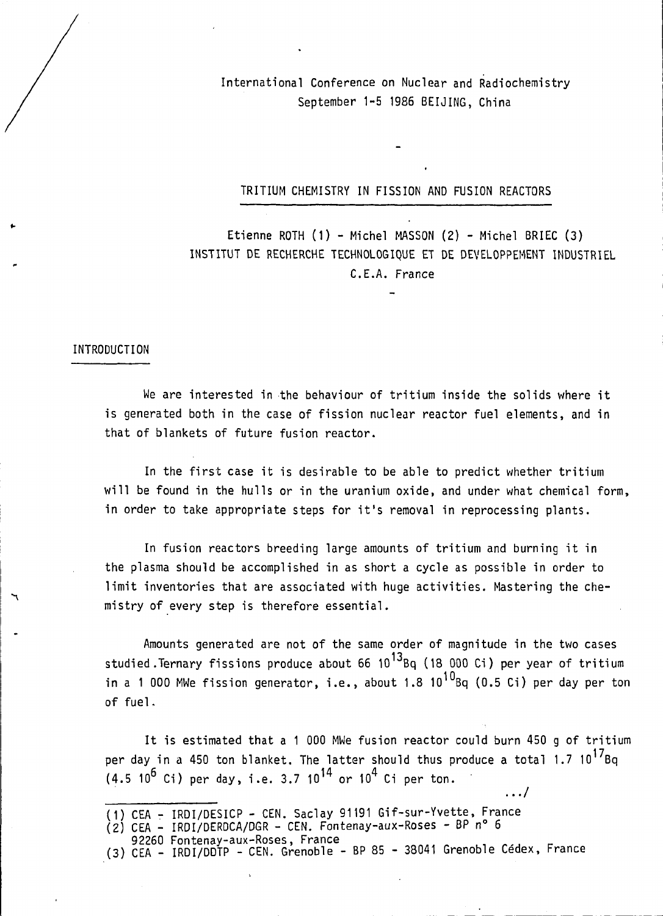International Conference on Nuclear and Radiochemistry September 1-5 1986 BEIJING, China

TRITIUM CHEMISTRY IN FISSION AND FUSION REACTORS

Etienne ROTH (1) - Michel MASSON (2) - Michel BRIEC (3) INSTITUT DE RECHERCHE TECHNOLOGIQUE ET DE DEVELOPPEMENT INDUSTRIEL CE.A. France

### INTRODUCTION

 $\mathcal{F}$ 

We are interested in the behaviour of tritium inside the solids where it is generated both in the case of fission nuclear reactor fuel elements, and in that of blankets of future fusion reactor.

In the first case it is desirable to be able to predict whether tritium will be found in the hulls or in the uranium oxide, and under what chemical form, in order to take appropriate steps for it's removal in reprocessing plants.

In fusion reactors breeding large amounts of tritium and burning it in the plasma should be accomplished in as short a cycle as possible in order to limit inventories that are associated with huge activities. Mastering the chemistry of every step is therefore essential.

Amounts generated are not of the same order of magnitude in the two cases studied .Ternary fissions produce about 66  $10^{13}$ Bq (18 000 Ci) per year of tritium in a 1 000 MWe fission generator, i.e., about 1.8  $10^{10}$ Bq (0.5 Ci) per day per ton of fuel.

It is estimated that a 1 000 MWe fusion reactor could burn 450 g of triti urn per day in a 450 ton blanket. The latter should thus produce a total 1.7 10<sup>17</sup>Bq  $(4.5 10^6 \text{ Ci})$  per day, i.e. 3.7  $10^{14}$  or  $10^4$  Ci per ton.

.../

<sup>(1)</sup> CEA - IRDI/DESICP - CEN. Saclay 91191 Gif-sur-Yvette, France

 $(2)$  CEA - IRDI/DERDCA/DGR - CEN. Fontenay-aux-Roses - BP n° 6

<sup>92260</sup> Fontenay-aux-Roses, France

<sup>(3)</sup> CEA - IRDI/DDTP - CEN. Grenoble - BP 85 - 38041 Grenoble Cedex, France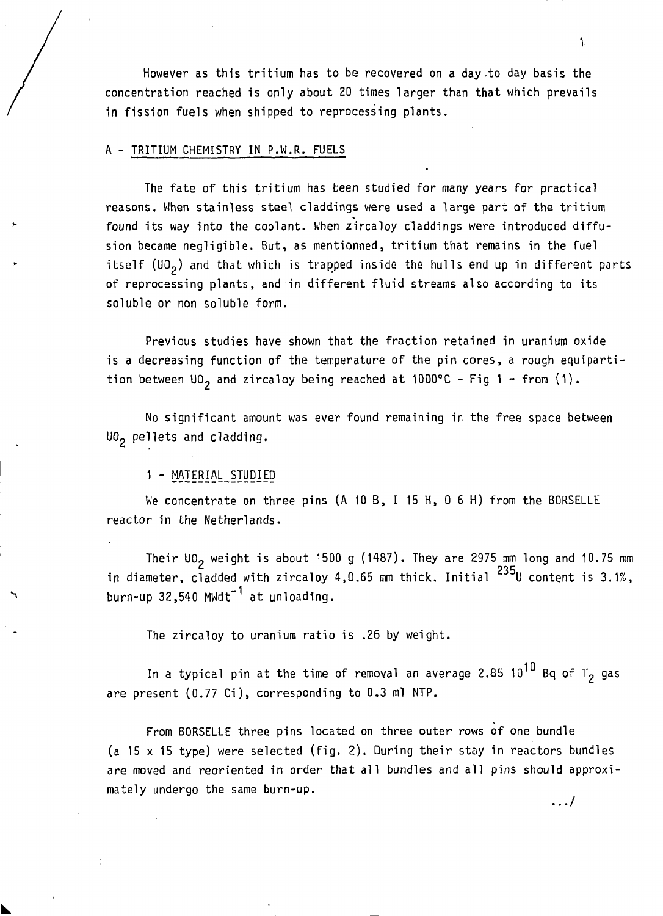However as this tritium has to be recovered on a day to day basis the concentration reached is only about 20 times larger than that which prevails in fission fuels when shipped to reprocessing plants.

### A - TRITIUM CHEMISTRY IN P.W.R. FUELS

The fate of this tritium has been studied for many years for practical reasons. When stainless steel claddings were used a large part of the tritium found its way into the coolant. When zircaloy claddings were introduced diffusion became negligible. But, as mentionned, tritium that remains in the fuel itself (UO<sub>2</sub>) and that which is trapped inside the hulls end up in different parts of reprocessing plants, and in different fluid streams also according to its soluble or non soluble form.

Previous studies have shown that the fraction retained in uranium oxide is a decreasing function of the temperature of the pin cores, a rough equipartition between  $U_0$  and zircaloy being reached at 1000°C - Fig 1 - from (1).

No significant amount was ever found remaining in the free space between UO<sub>2</sub> pellets and cladding.

### 1 - MATERIAL STUDIED

We concentrate on three pins (A 10 B, I 15 H, 0 6 H) from the BORSELLE reactor in the Netherlands.

Their UO<sub>2</sub> weight is about 1500 g (1487). They are 2975 mm long and 10.75 mm in diameter, cladded with zircaloy 4,0.65 mm thick. Initial  $^{235}$ U content is 3.1%, burn-up 32,540 MWdt<sup>-1</sup> at unloading.

The zircaloy to uranium ratio is .26 by weight.

In a typical pin at the time of removal an average 2.85 10<sup>10</sup> Bq of  $r<sub>2</sub>$  gas are present (0.77 Ci), corresponding to 0.3 ml NTP.

From BORSELLE three pins located on three outer rows of one bundle (a 15 x 15 type) were selected (fig. 2). During their stay in reactors bundles are moved and reoriented in order that all bundles and all pins should approximately undergo the same burn-up.

 $\ldots/$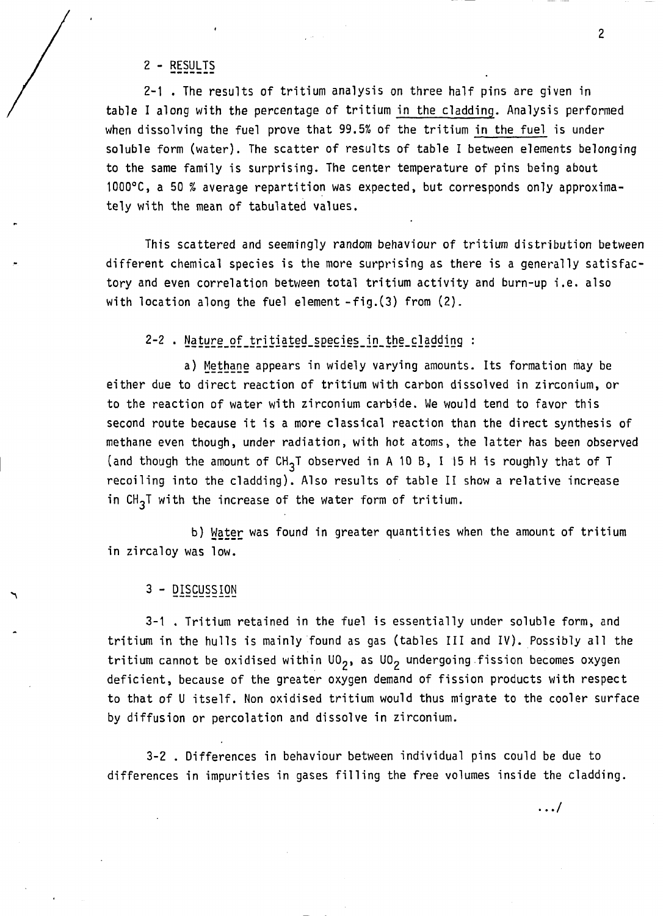2 - RESULTS

2-1 . The results of tritium analysis on three half pins are given in table I along with the percentage of tritium in the cladding. Analysis performed when dissolving the fuel prove that 99.5% of the tritium in the fuel is under soluble form (water). The scatter of results of table I between elements belonging to the same family is surprising. The center temperature of pins being about 1000°C, a 50 % average repartition was expected, but corresponds only approximately with the mean of tabulated values.

This scattered and seemingly random behaviour of tritium distribution between different chemical species is the more surprising as there is a generally satisfactory and even correlation between total tritium activity and burn-up i.e. also with location along the fuel element -fig.(3) from (2).

2-2 . Nature of tritiated species in the cladding :

a) Methane appears in widely varying amounts. Its formation may be either due to direct reaction of tritium with carbon dissolved in zirconium, or to the reaction of water with zirconium carbide. We would tend to favor this second route because it is a more classical reaction than the direct synthesis of methane even though, under radiation, with hot atoms, the latter has been observed (and though the amount of  $CH_{3}T$  observed in A 10 B, I 15 H is roughly that of T recoiling into the cladding). Also results of table II show a relative increase in  $CH_2T$  with the increase of the water form of tritium.

b) Water was found in greater quantities when the amount of tritium in zircaloy was low.

3 - DISCUSSION

3-1 . Tritium retained in the fuel is essentially under soluble form, and tritium in the hulls is mainly found as gas (tables III and IV). Possibly all the tritium cannot be oxidised within  $U_2$ , as  $U_2$  undergoing fission becomes oxygen deficient, because of the greater oxygen demand of fission products with respect to that of U itself. Non oxidised tritium would thus migrate to the cooler surface by diffusion or percolation and dissolve in zirconium.

3-2 . Differences in behaviour between individual pins could be due to differences in impurities in gases filling the free volumes inside the cladding.

.../

2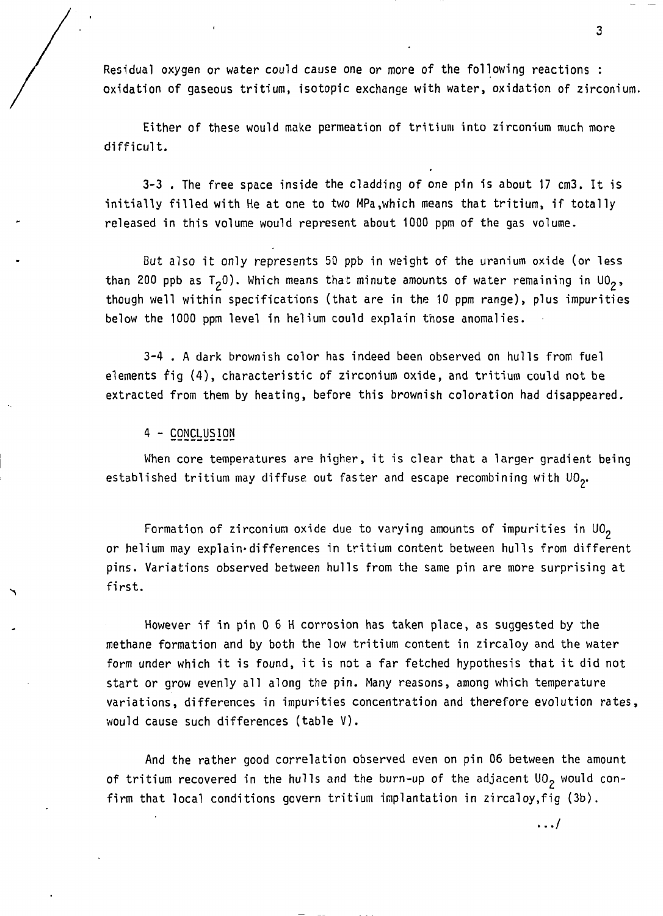Residual oxygen or water could cause one or more of the following reactions : oxidation of gaseous tritium, isotopic exchange with water, oxidation of zirconium.

Either of these would make permeation of tritium into zirconium much more difficult.

3-3 . The free space inside the cladding of one pin is about 17 cm3. It is initially filled with He at one to two MPa,which means that tritium, if totally released in this volume would represent about 1000 ppm of the gas volume.

But also it only represents 50 ppb in weight of the uranium oxide (or less than 200 ppb as  $T^0$ ). Which means that minute amounts of water remaining in UO<sub>2</sub>, though well within specifications (that are in the 10 ppm range), plus impurities below the 1000 ppm level in helium could explain those anomalies.

3-4 . A dark brownish color has indeed been observed on hulls from fuel elements fig (4), characteristic of zirconium oxide, and tritium could not be extracted from them by heating, before this brownish coloration had disappeared.

## 4 - CONCLUSION

When core temperatures are higher, it is clear that a larger gradient being established tritium may diffuse out faster and escape recombining with UO<sub>2</sub>.

Formation of zirconium oxide due to varying amounts of impurities in  $U0<sub>2</sub>$ or helium may explain»differences in tritium content between hulls from different pins. Variations observed between hulls from the same pin are more surprising at first.

However if in pin 0 6 H corrosion has taken place, as suggested by the methane formation and by both the low tritium content in zircaloy and the water form under which it is found, it is not a far fetched hypothesis that it did not start or grow evenly all along the pin. Many reasons, among which temperature variations, differences in impurities concentration and therefore evolution rates, would cause such differences (table V) .

And the rather good correlation observed even on pin 06 between the amount of tritium recovered in the hulls and the burn-up of the adjacent  $U_0$  would confirm that local conditions govern tritium implantation in zircaloy,fig (3b).

3

 $\ldots/$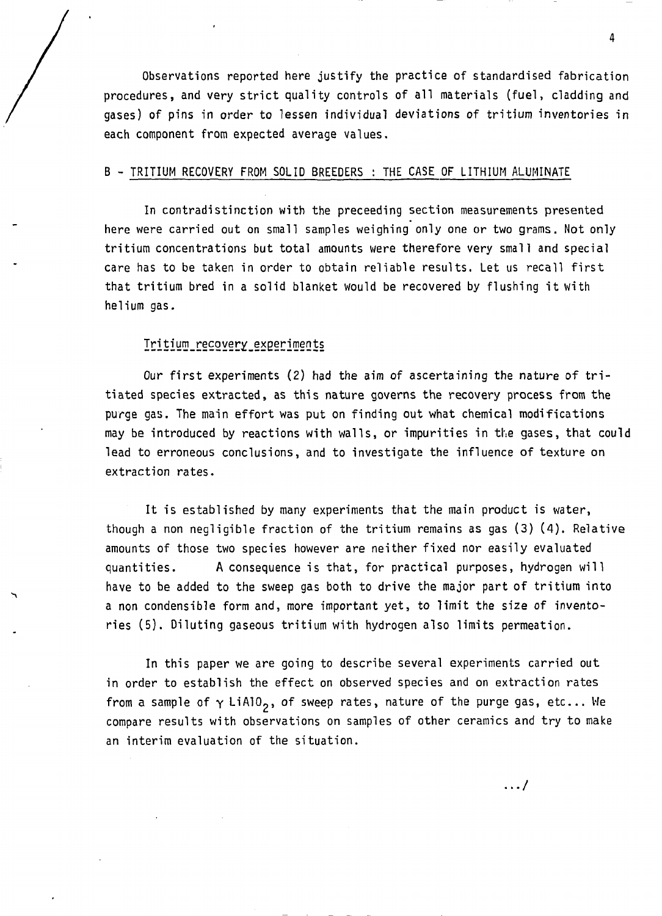Observations reported here justify the practice of standardised fabrication procedures, and very strict quality controls of all materials (fuel, cladding and gases) of pins in order to lessen individual deviations of tritium inventories in each component from expected average values.

#### B - TRITIUM RECOVERY FROM SOLID BREEDERS : THE CASE OF LITHIUM ALUMINATE

In contradistinction with the preceeding section measurements presented here were carried out on small samples weighing only one or two grams. Not only tritium concentrations but total amounts were therefore very small and special care has to be taken in order to obtain reliable results. Let us recall first that tritium bred in a solid blanket would be recovered by flushing it with helium gas.

## Tritium\_recovery\_experiments

Our first experiments (2) had the aim of ascertaining the nature of tritiated species extracted, as this nature governs the recovery process from the purge gas. The main effort was put on finding out what chemical modifications may be introduced by reactions with walls, or impurities in the gases, that could lead to erroneous conclusions, and to investigate the influence of texture on extraction rates.

It is established by many experiments that the main product is water, though a non negligible fraction of the tritium remains as gas (3) (4). Relative amounts of those two species however are neither fixed nor easily evaluated quantities. A consequence is that, for practical purposes, hydrogen will have to be added to the sweep gas both to drive the major part of tritium into a non condensible form and, more important yet, to limit the size of inventories (5). Diluting gaseous tritium with hydrogen also limits permeation.

In this paper we are going to describe several experiments carried out in order to establish the effect on observed species and on extraction rates from a sample of  $\gamma$  LiAlO<sub>2</sub>, of sweep rates, nature of the purge gas, etc... We compare results with observations on samples of other ceramics and try to make an interim evaluation of the situation.

4

.../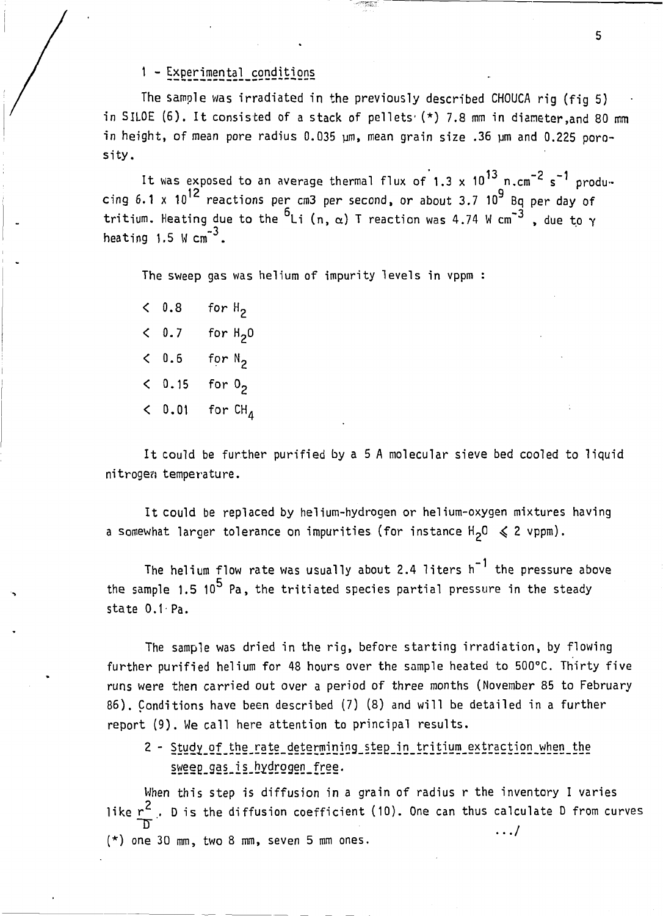## 1 - Experimental conditions

The sample was irradiated in the previously described CHOUCA rig (fig 5) in SILOE (6). It consisted of a stack of pellets'  $(*)$  7.8 mm in diameter, and 80 mm in height, of mean pore radius  $0.035$   $\mu$ m, mean grain size .36  $\mu$ m and 0.225 porosity .

13 <sub>-</sub> -2 -1 It was exposed to an average thermal flux of 1.3 x 10 n.cm s s produ- $12$  reactions per cm3 per second or about  $3.7 \cdot 10^9$ cing 6.1 x 10 reactions per cm3 per second, or about 3.7 10 Bq per day of tritium. Heating due to the  $6_{Li}$  (n,  $\alpha$ ) T reaction was 4.74 W cm<sup>-3</sup>, due to  $\gamma$ \_3 heating 1.5 W  $cm^{\sim}$ .

The sweep gas was helium of impurity levels in vppm :

 $\langle$  0.8 for  $H_2$ **< 0.7** for H<sub>2</sub>0 **< 0.6** for N<sub>2</sub> **< 0.15** for 0<sub>2</sub> **<**  0.01 for CH,

It could be further purified by a 5 A molecular sieve bed cooled to liquid nitrogen temperature.

It could be replaced by helium-hydrogen or helium-oxygen mixtures having a somewhat larger tolerance on impurities (for instance  $H^2O \leq 2$  vppm).

The helium flow rate was usually about 2.4 liters  $h^{-1}$  the pressure above the sample 1.5  $10^5$  Pa, the tritiated species partial pressure in the steady state 0.1-Pa.

The sample was dried in the rig, before starting irradiation, by flowing further purified helium for 48 hours over the sample heated to 500°C. Thirty five runs were then carried out over a period of three months (November 85 to February 86). Conditions have been described (7) (8) and will be detailed in a further report (9). We call here attention to principal results.

2 - Study of the rate determining step in tritium extraction when the sweep gas is hydrogen free.

When this step is diffusion in a grain of radius r the inventory I varies  $\overline{2}$ like r<sup>c</sup> . D is the diffusion coefficient (10). One can thus calculate D from curves 1 1  $\overline{a}$   $\overline{b}$   $\overline{c}$   $\overline{c}$   $\overline{c}$   $\overline{c}$   $\overline{c}$   $\overline{c}$   $\overline{c}$   $\overline{c}$   $\overline{c}$   $\overline{c}$   $\overline{c}$   $\overline{c}$   $\overline{c}$   $\overline{c}$   $\overline{c}$   $\overline{c}$   $\overline{c}$   $\overline{c}$   $\overline{c}$   $\overline{c}$   $\overline{c}$   $\overline{c}$   $\overline{$ (\*) one 30 mm, two 8 mm, seven 5 mm ones.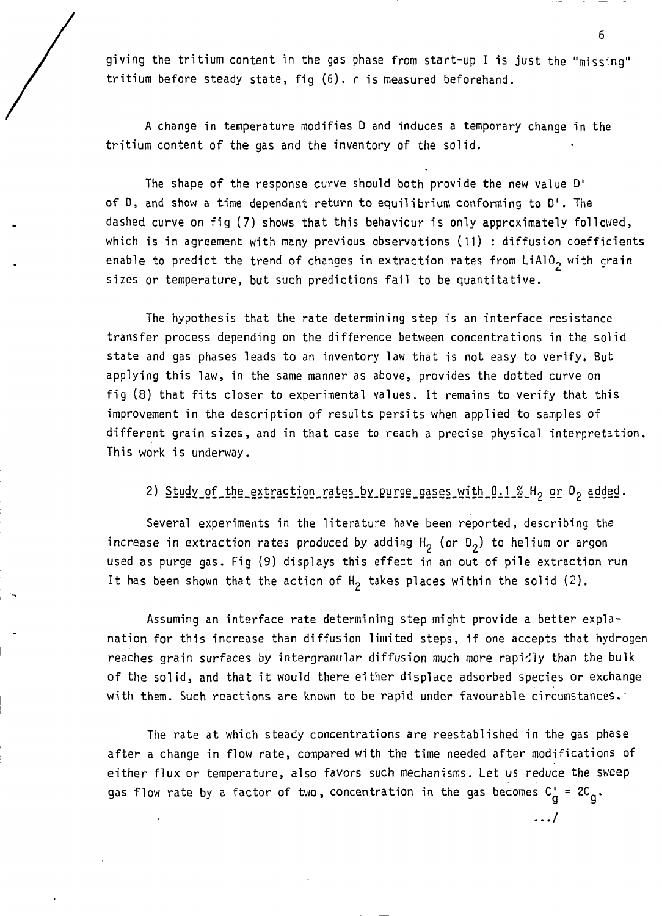giving the tritium content in the gas phase from start-up I is just the "missing" tritium before steady state, fig (6). r is measured beforehand.

A change in temperature modifies D and induces a temporary change in the tritium content of the gas and the inventory of the solid.

The shape of the response curve should both provide the new value D' of D, and show a time dependant return to equilibrium conforming to D'. The dashed curve on fig (7) shows that this behaviour is only approximately followed, which is in agreement with many previous observations (11) : diffusion coefficients enable to predict the trend of changes in extraction rates from LiA10<sub>2</sub> with grain sizes or temperature, but such predictions fail to be quantitative.

The hypothesis that the rate determining step is an interface resistance transfer process depending on the difference between concentrations in the solid state and gas phases leads to an inventory law that is not easy to verify. But applying this law, in the same manner as above, provides the dotted curve on fig (8) that fits closer to experimental values. It remains to verify that this improvement in the description of results persits when applied to samples of different grain sizes, and in that case to reach a precise physical interpretation. This work is underway.

2) Study\_of\_the\_extraction\_rates\_by\_purge\_gases\_with\_0.1\_%\_H<sub>2</sub> or D<sub>2</sub> added.

Several experiments in the literature have been reported, describing the increase in extraction rates produced by adding  $H_2$  (or  $D_2$ ) to helium or argon used as purge gas. Fig (9) displays this effect in an out of pile extraction run It has been shown that the action of  $H_2$  takes places within the solid (2).

Assuming an interface rate determining step might provide a better explanation for this increase than diffusion limited steps, if one accepts that hydrogen reaches grain surfaces by intergranular diffusion much more rapidly than the bulk of the solid, and that it would there either displace adsorbed species or exchange with them. Such reactions are known to be rapid under favourable circumstances.'

The rate at which steady concentrations are reestablished in the gas phase after a change in flow rate, compared with the time needed after modifications of either flux or temperature, also favors such mechanisms. Let us reduce the sweep gas flow rate by a factor of two, concentration in the gas becomes  $C_n^+ = 2C_n$ .

 $\ldots$ 

6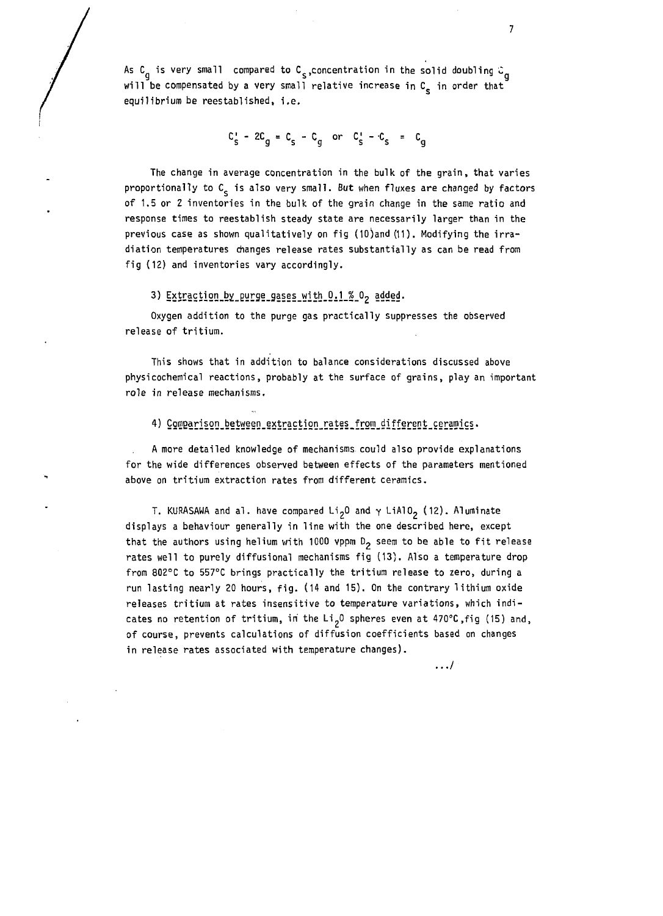As C<sub>a</sub> is very small compared to C<sub>s</sub>, concentration in the solid doubling  $c_a$ will be compensated by a very small relative increase in C<sub>s</sub> in order that equilibrium be reestablished, i.e.

$$
C'_s - 2C_g = C_s - C_g
$$
 or  $C'_s - C_s = C_g$ 

The change in average concentration in the bulk of the grain, that varies proportionally to C<sub>s</sub> is also very small. But when fluxes are changed by factors of 1.5 or 2 inventories in the bulk of the grain change in the same ratio and response times to reestablish steady state are necessarily larger than in the previous case as shown qualitatively on fig (10) and (11). Modifying the irradiation temperatures changes release rates substantially as can be read from fig (12) and inventories vary accordingly.

#### 3) Extraction by purge gases with 0.1 % 02 added.

Oxygen addition to the purge gas practically suppresses the observed release of tritium.

This shows that in addition to balance considerations discussed above physicochemical reactions, probably at the surface of grains, play an important role in release mechanisms.

#### 4) Comparison between extraction rates from different ceramics.

A more detailed knowledge of mechanisms could also provide explanations for the wide differences observed between effects of the parameters mentioned above on tritium extraction rates from different ceramics.

T. KURASAWA and al. have compared Li<sub>2</sub>O and  $\gamma$  LiAlO<sub>2</sub> (12). Aluminate displays a behaviour generally in line with the one described here, except that the authors using helium with 1000 vppm  $D_2$  seem to be able to fit release rates well to purely diffusional mechanisms fig (13). Also a temperature drop from 802°C to 557°C brings practically the tritium release to zero, during a run lasting nearly 20 hours, fig. (14 and 15). On the contrary lithium oxide releases tritium at rates insensitive to temperature variations, which indicates no retention of tritium, in the Li<sub>2</sub>O spheres even at 470°C,fig (15) and, of course, prevents calculations of diffusion coefficients based on changes in release rates associated with temperature changes).

. . ./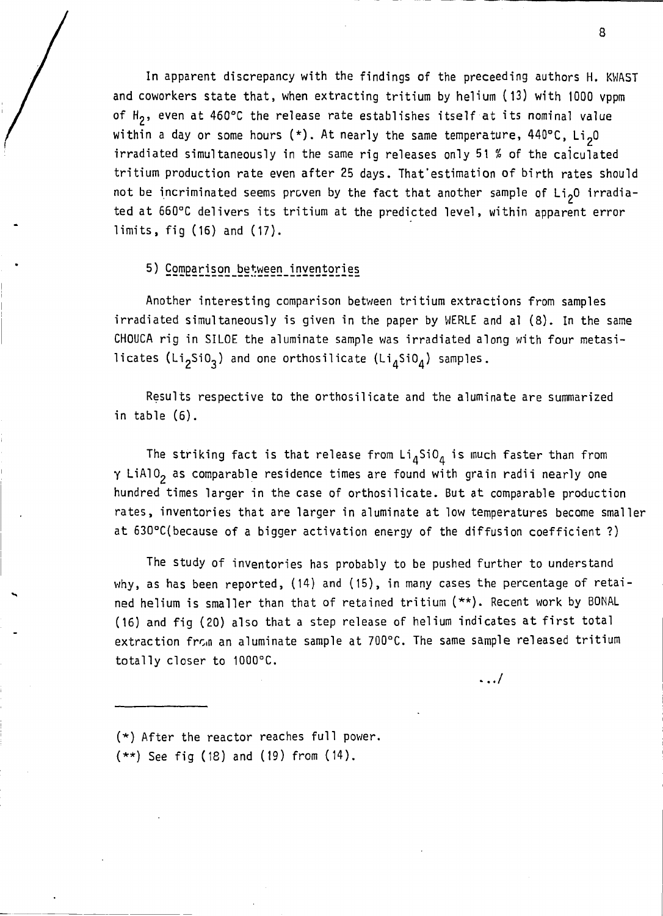In apparent discrepancy with the findings of the preceeding authors H. KWAST and coworkers state that, when extracting tritium by helium  $(13)$  with 1000 vppm of  $H_2$ , even at 460°C the release rate establishes itself at its nominal value within a day or some hours  $(*)$ . At nearly the same temperature, 440°C, Li<sub>2</sub>0 irradiated simultaneously in the same rig releases only 51  $%$  of the calculated tritium production rate even after 25 days. That'estimation of birth rates should not be incriminated seems proven by the fact that another sample of  $Li<sub>2</sub>O$  irradiated at 660°C delivers its tritium at the predicted level, within apparent error limits, fig  $(16)$  and  $(17)$ .

## 5) Comparison between inventories

Another interesting comparison between tritium extractions from samples irradiated simultaneously is given in the paper by WERLE and al (8). In the same CHOUCA rig in SILOE the aluminate sample was irradiated along with four metasilicates (Li<sub>2</sub>SiO<sub>3</sub>) and one orthosilicate (Li<sub>4</sub>SiO<sub>4</sub>) samples.

Results respective to the orthosilicate and the aluminate are summarized in table (6).

The striking fact is that release from  $Li_ASiO_A$  is much faster than from  $\gamma$  LiAlO<sub>2</sub> as comparable residence times are found with grain radii nearly one hundred times larger in the case of orthosilicate. But at comparable production rates, inventories that are larger in aluminate at low temperatures become smaller at 630°C(because of a bigger activation energy of the diffusion coefficient ?)

The study of inventories has probably to be pushed further to understand why, as has been reported, (14) and (15), in many cases the percentage of retained helium is smaller than that of retained tritium (\*\*). Recent work by BONAL (16) and fig (20) also that a step release of helium indicates at first total extraction fr $\varsigma$ m an aluminate sample at 700°C. The same sample released tritium totally closer to 1000°C.

. . . /

 $(*)$  After the reactor reaches full power.  $(**)$  See fig (18) and (19) from (14).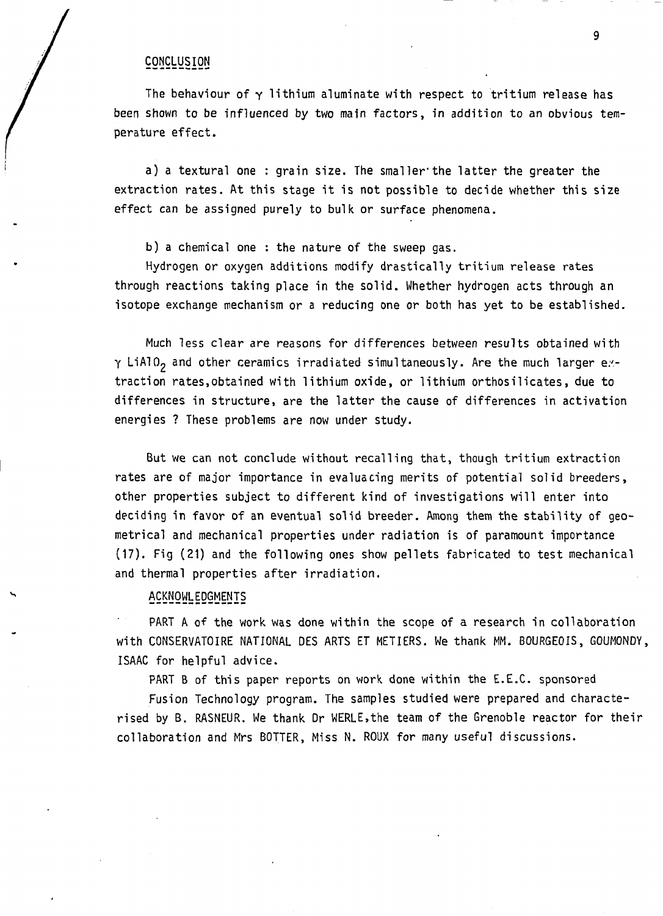#### **CONCLUSION**

The behaviour of  $\gamma$  lithium aluminate with respect to tritium release has been shown to be influenced by two main factors, in addition to an obvious temperature effect.

a) a textural one : grain size. The smaller'the latter the greater the extraction rates. At this stage it is not possible to decide whether this size effect can be assigned purely to bulk or surface phenomena.

b) a chemical one : the nature of the sweep gas.

Hydrogen or oxygen additions modify drastically tritium release rates through reactions taking place in the solid. Whether hydrogen acts through an isotope exchange mechanism or a reducing one or both has yet to be established.

Much less clear are reasons for differences between results obtained with  $\gamma$  LiATO<sub>2</sub> and other ceramics irradiated simultaneously. Are the much larger extraction rates,obtained with lithium oxide, or lithium orthosilicates, due to differences in structure, are the latter the cause of differences in activation energies ? These problems are now under study.

But we can not conclude without recalling that, though tritium extraction rates are of major importance in evaluating merits of potential solid breeders, other properties subject to different kind of investigations will enter into deciding in favor of an eventual solid breeder. Among them the stability of geometrical and mechanical properties under radiation is of paramount importance (17). Fig (21) and the following ones show pellets fabricated to test mechanical and thermal properties after irradiation.

## ACKNOWLEDGMENTS

PART A of the work was done within the scope of a research in collaboration With CONSERVATOIRE NATIONAL DES ARTS ET METIERS. We thank MM. BOURGEOIS, GOUMONDY, ISAAC for helpful advice.

PART B of this paper reports on work done within the E.E.C. sponsored

Fusion Technology program. The samples studied were prepared and characterised by B. RASNEUR. We thank Dr WERLE.the team of the Grenoble reactor for their collaboration and Mrs BOTTER, Miss N. ROUX for many useful discussions.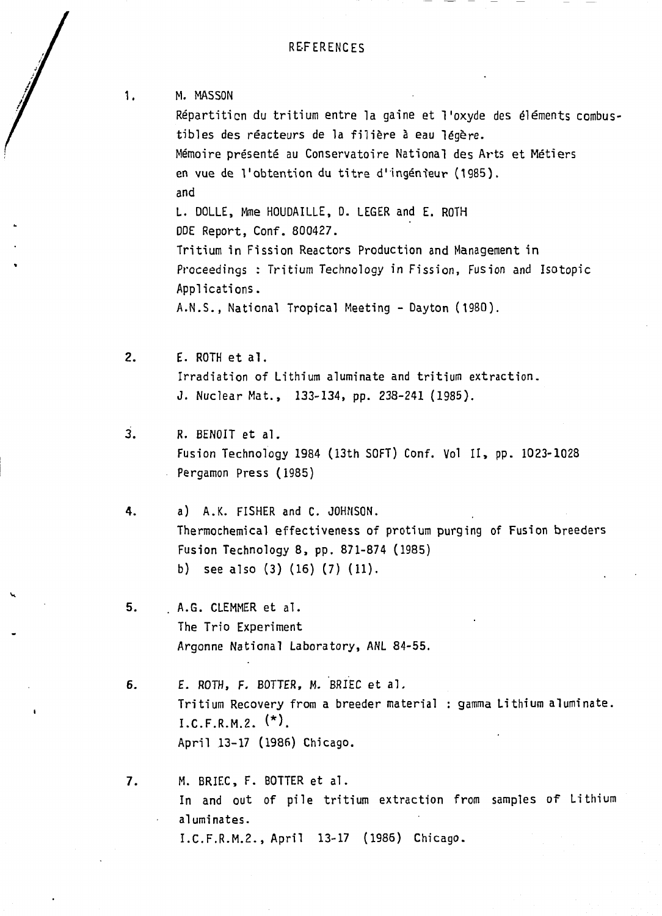1. M. MASSON Répartition du tritium entre la gaine et l'oxyde des éléments combustibles des réacteurs de la filière à eau légère. Mémoire présenté au Conservatoire National des Arts et Métiers en vue de l'obtention du titre d'ingénieur (1985). and L. DOLLE, Mme HOUDAILLE, D. LEGER and E. ROTH DDE Report, Conf. 800427. Tritium in Fission Reactors Production and Management in Proceedings : Tritium Technology in Fission, Fusion and Isotopic Applications. A.N.S., National Tropical Meeting - Dayton (1980).  $2.$ E. ROTH et al. Irradiation of Lithium aluminate and tritium extraction. J. Nuclear Mat., 133-134, pp. 238-241 (1985).  $\overline{3}$ . R. BENOIT et al. Fusion Technology 1984 (13th SOFT) Conf. Vol II, pp. 1023-1028 Pergamon Press (1985) 4. a) A.K. FISHER and C. JOHNSON. Thermochemical effectiveness of protium purging of Fusion breeders Fusion Technology 8, pp. 871-874 (1985) b) see also (3) (16) (7) (11). 5. **A.G. CLEMMER et al. The Trio Experiment Argonne National Laboratory, ANL 84-55.**  6. **E. ROTH, F. BOTTER, M. BRIEC et al. Tritium Recovery from a breeder material : gamma Lithium aluminate. I.C.F.R.M.2. (\*).**  April 13-17 (1986) Chicago. M. BRIEC, F. BOTTER et al.  $7.$ In and out of pile tritium extraction from samples of Lithium aluminates. I.C.F.R.M.2., April 13-17 (1985) Chicago.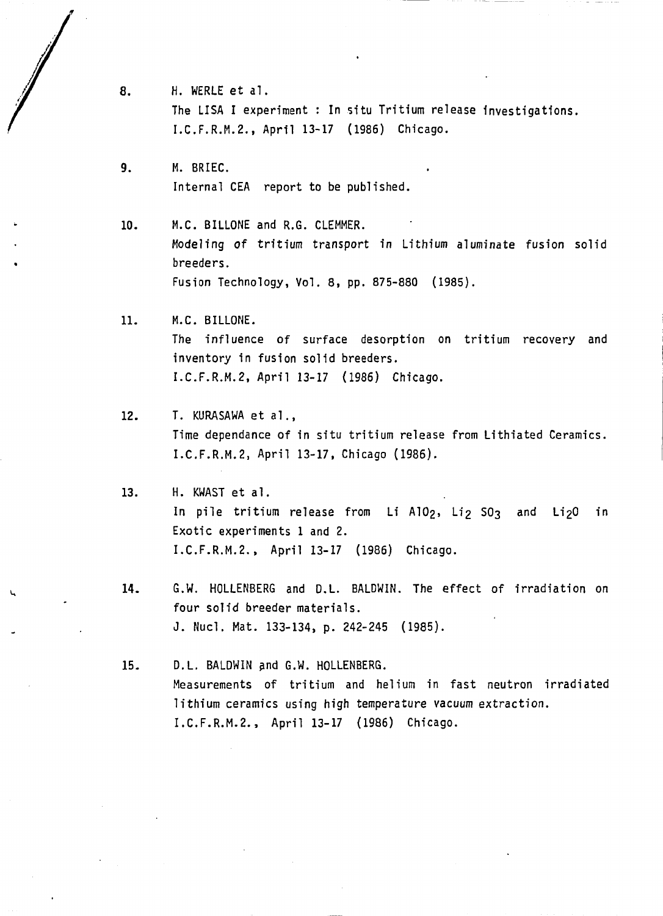- 8. H. WERLE et al . The LISA I experiment : In situ Tritium release investigations. I.C.F.R.M.2., April 13-17 (1986) Chicago.
- $9.$ H. BRIEC. **Internal CEA report to be published.**

 $10.$ **M.C. BILLONE and R.G. CLEMMER. Modeling of tritium transport in Lithium aluminate fusion solid breeders. Fusion Technology, Vol. 8, pp. 875-880 (1985).** 

 $11.$ **M.C. BILLONE.**  The influence of surface desorption on tritium recovery and inventory in fusion solid breeders. I.C.F.R.M.2, April 13-17 (1986) Chicago.

12. T. KURASAWA et al., **Time dépendance of in situ tritium release from Lithiated Ceramics. I.C.F.R.M.2, April 13-17, Chicago (1986).** 

 $13.$ **H. KWAST et al.**  In pile tritium release from Li A10 $2$ , Li $2$  SO3 and Li $20$  in Exotic experiments 1 and 2. I.C.F.R.M.2., April 13-17 (1986) Chicago.

14. G.W. HOLLENBERG and D.L. BALDWIN. The effect of irradiation on four solid breeder materials. J. Nucl. Mat. 133-134, p. 242-245 (1985).

**D.L. BALDWIN and G.W. HOLLENBERG.**   $15.$ **Measurements of tritium and helium in fast neutron irradiated lithium ceramics using high temperature vacuum extraction. I.C.F.R.M.2., April 13-17 (1986) Chicago.**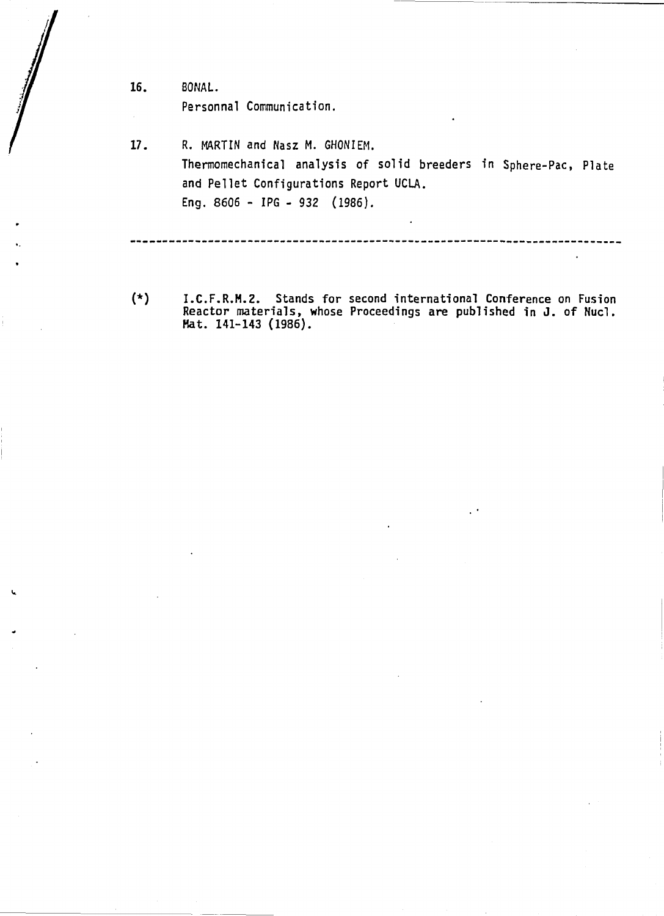16. BÛNAL. Personnal Communication.

i.

**17. R. MARTIN and Nasz M. GHONIEM. Thermomechanical analysis of solid breeders in Sphere-Pac, Plate and Pellet Configurations Report UCLA. Eng. 8606 - IPG - 932 (1986).** 

---------------------------------------------------------

(\*) I.C.F.R.H.2. Stands for second international Conference on Fusion Reactor materials, whose Proceedings are published in J. of Nucl. Hat. 141-143 (1986).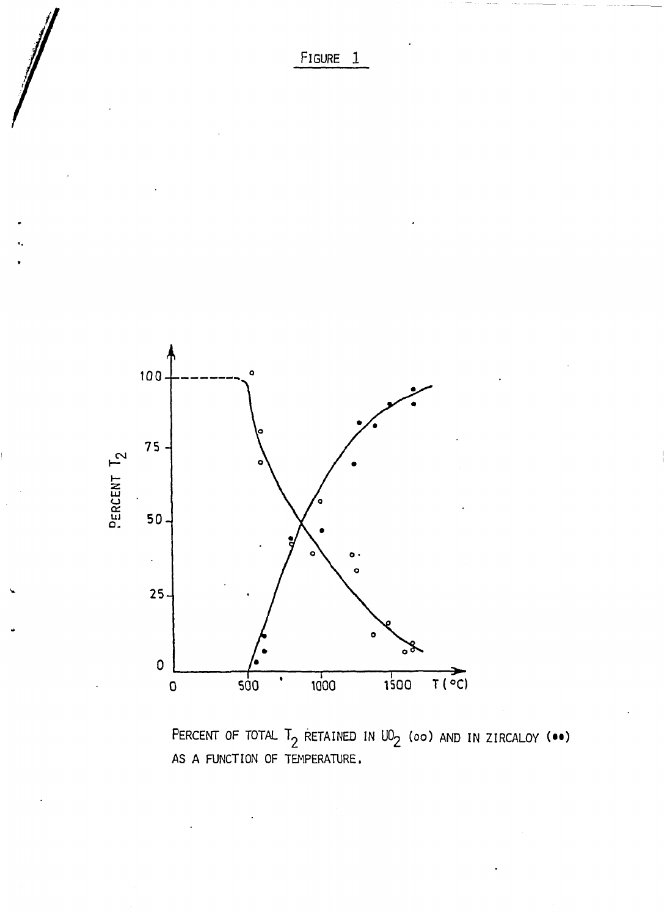FIGURE 1



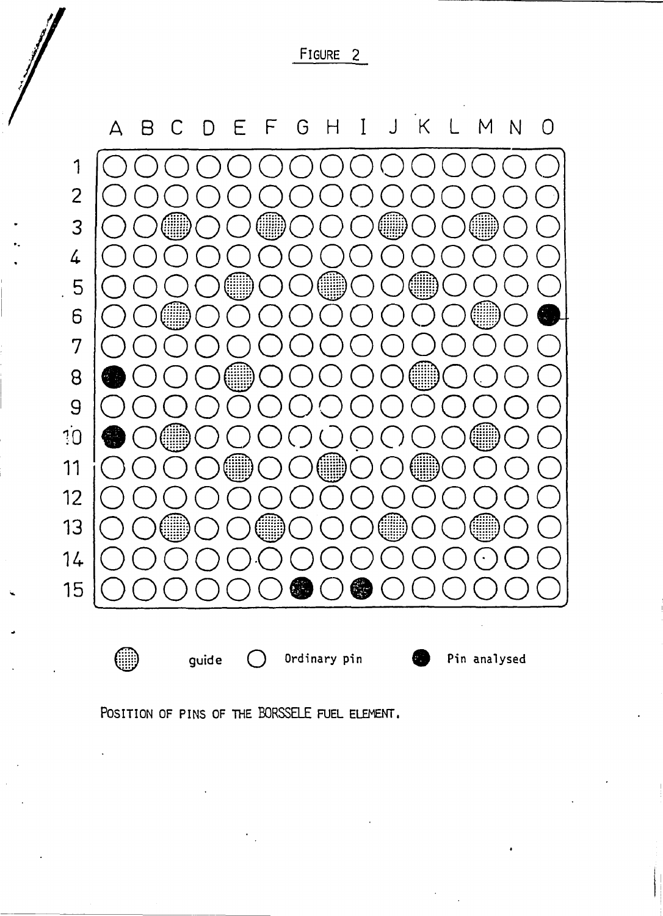FIGURE 2



ᡦ

 $(\ )$ 

guide

Ordinary pin

Pin analysed

Æ

POSITION OF PINS OF THE BORSSELE FUEL ELEMENT.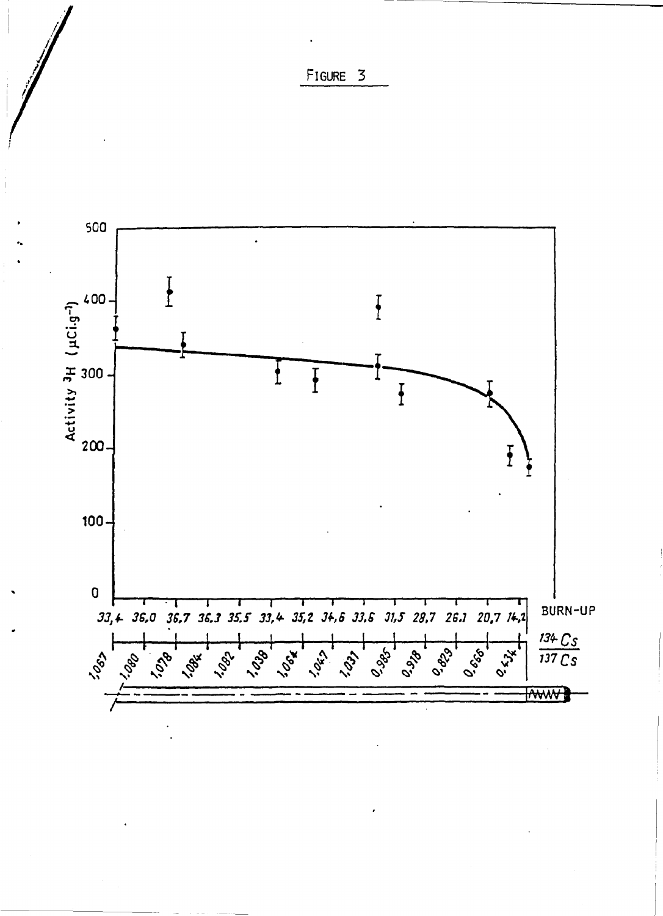

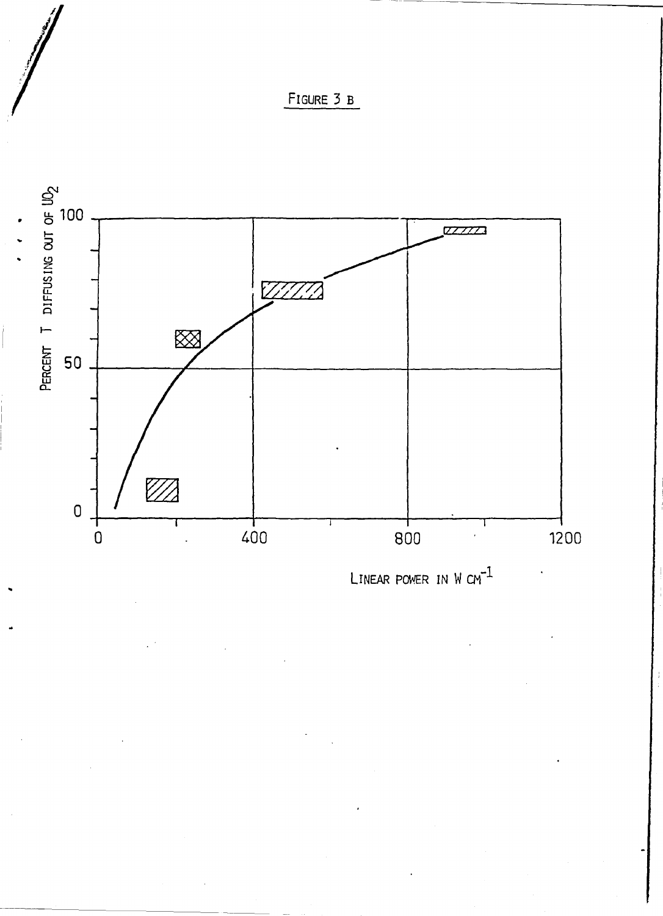



LINEAR POWER IN W  $cm^{-1}$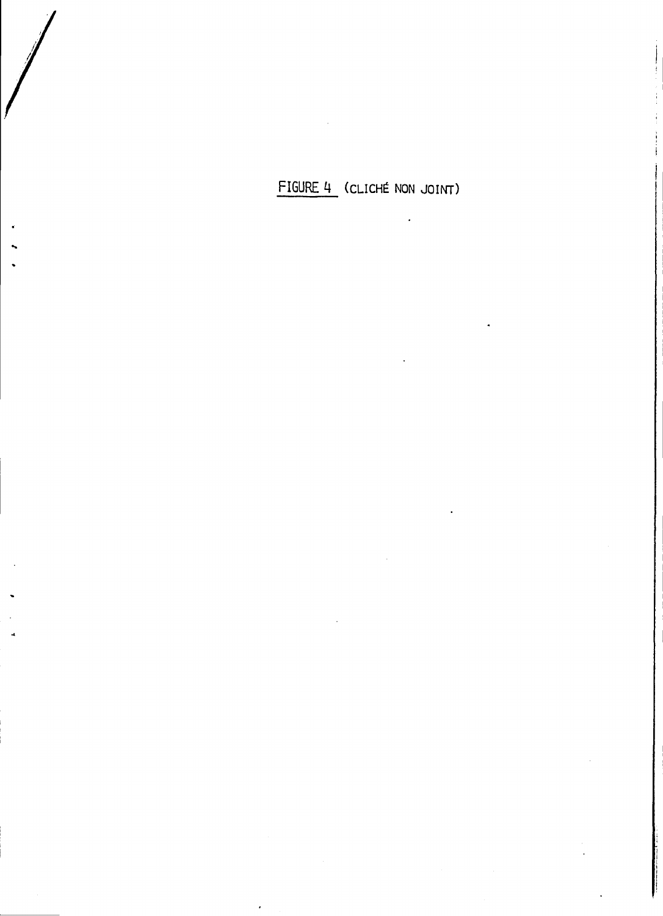**FIGURE 4 (CLICHÉ NON JOINT)**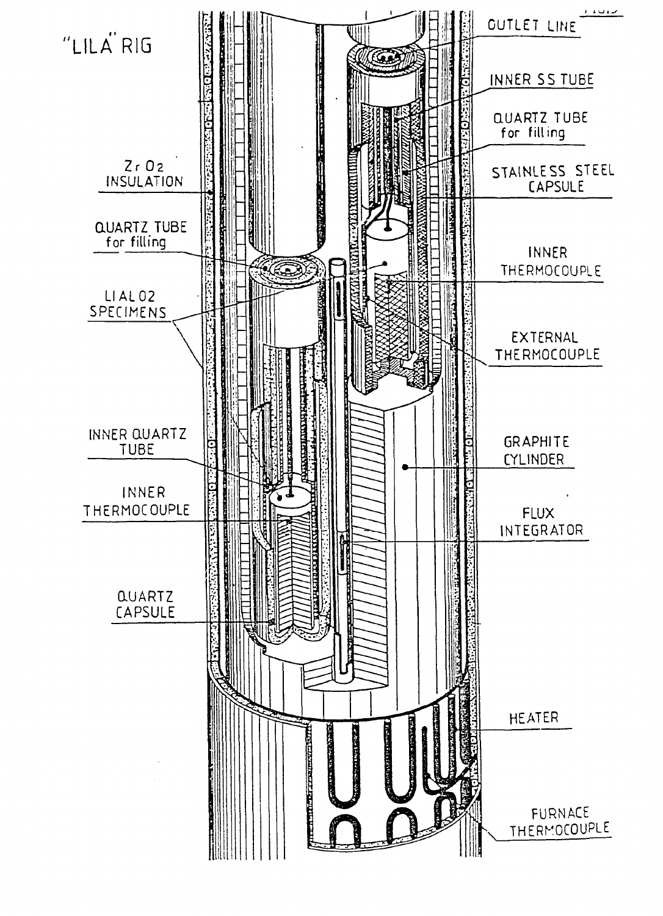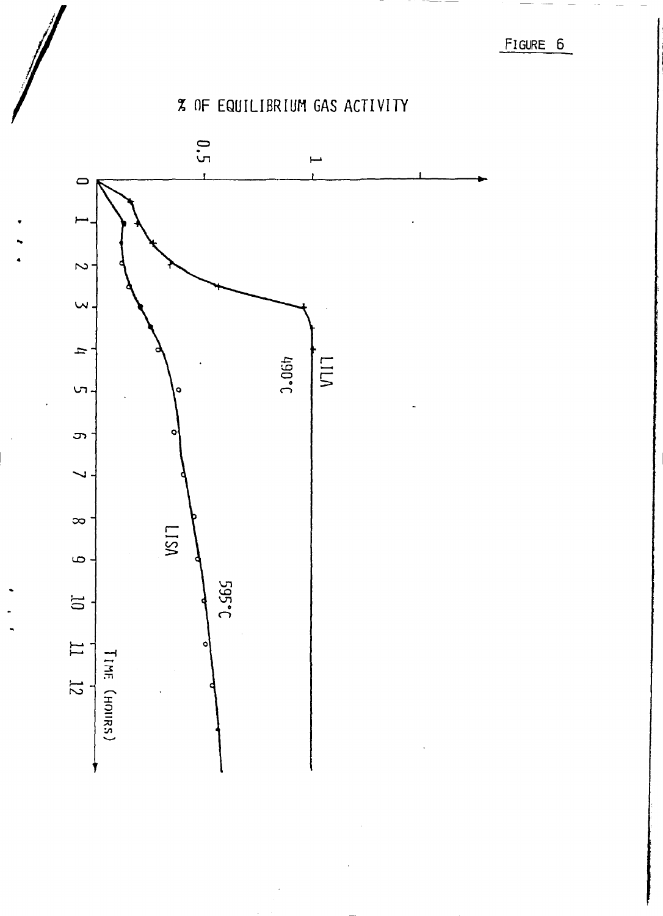FIGURE 6

# % OF EQUILIBRIUM GAS ACTIVITY

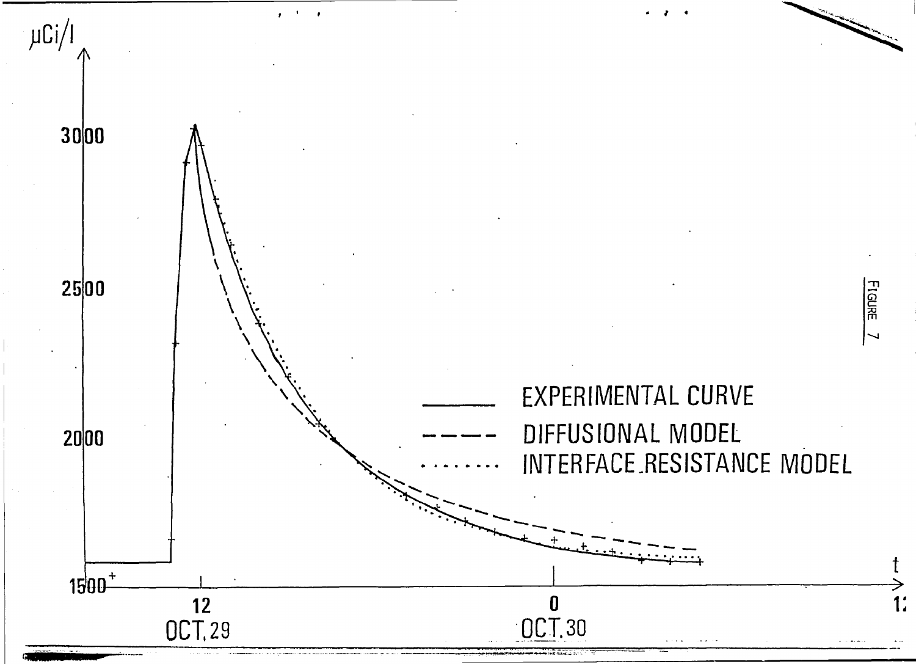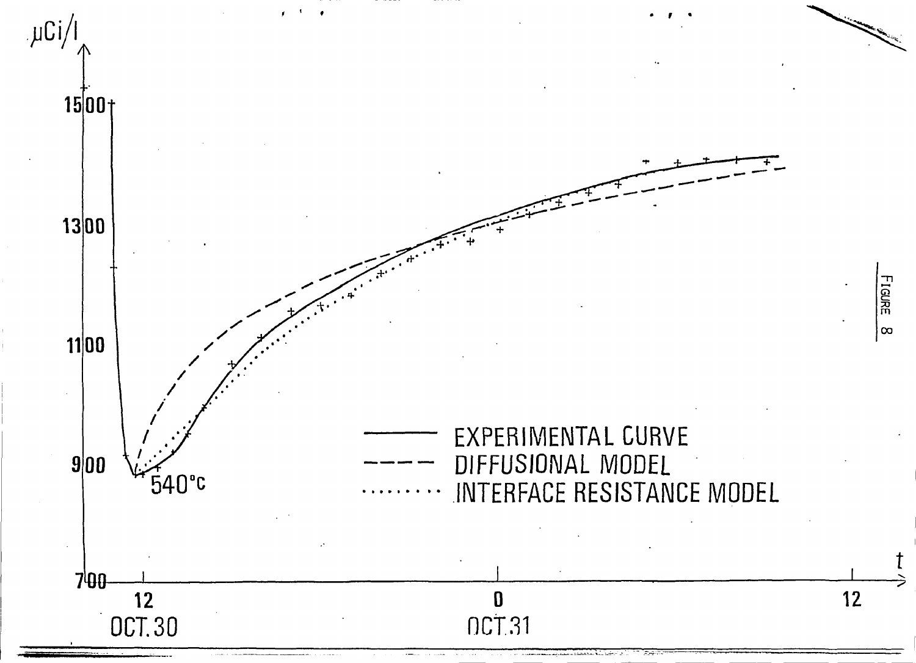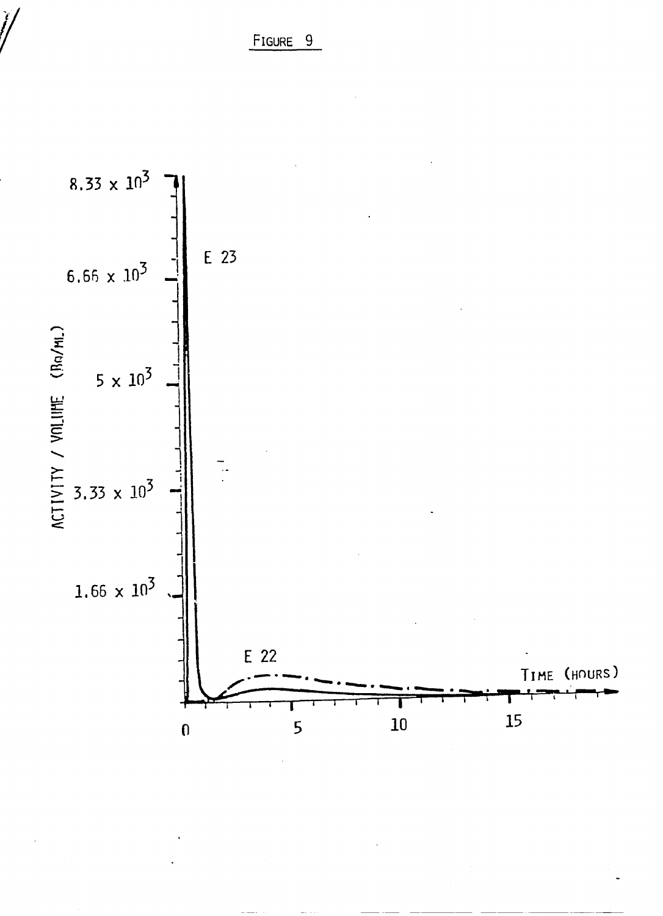FIGURE 9

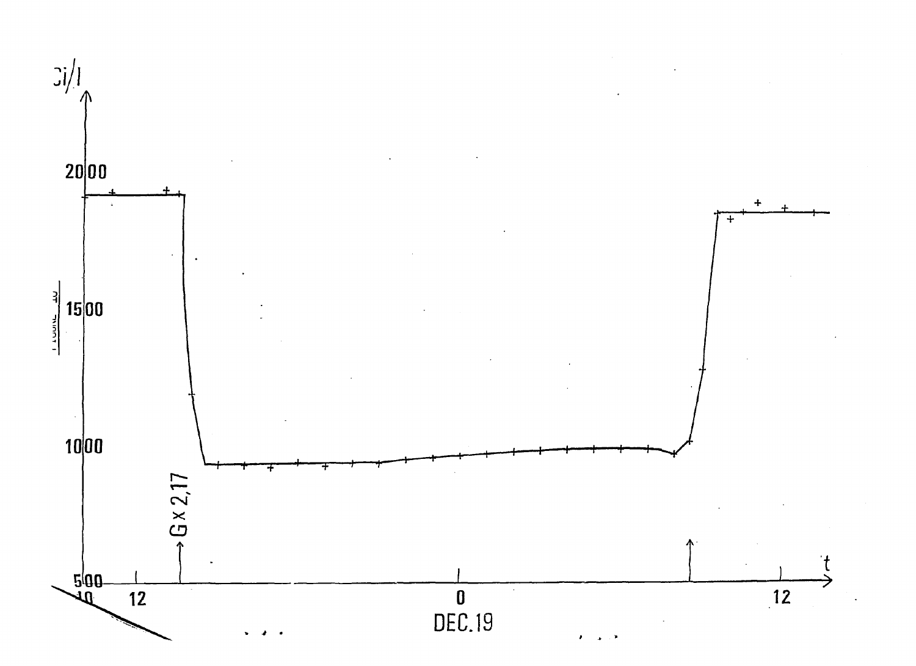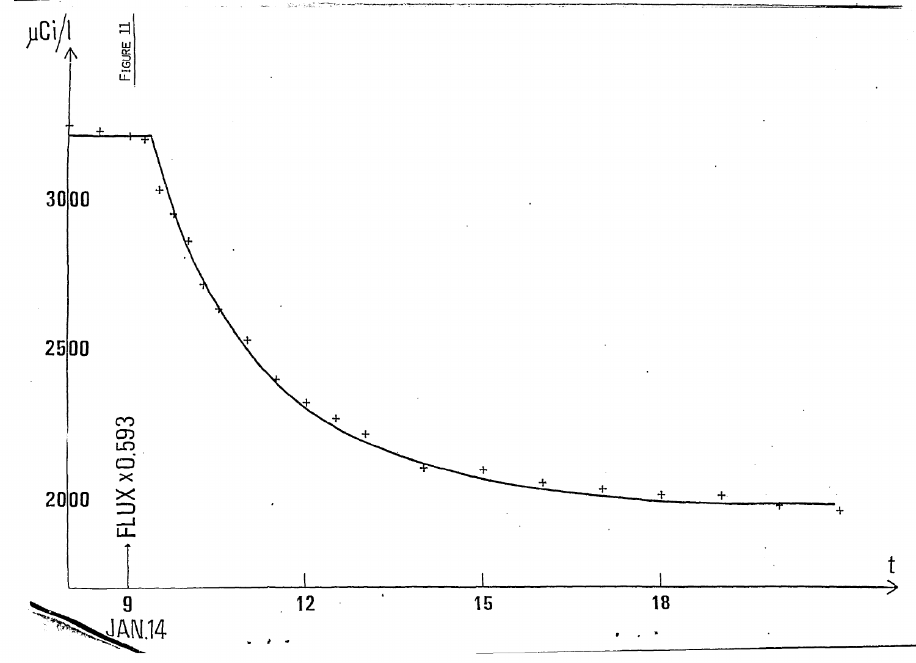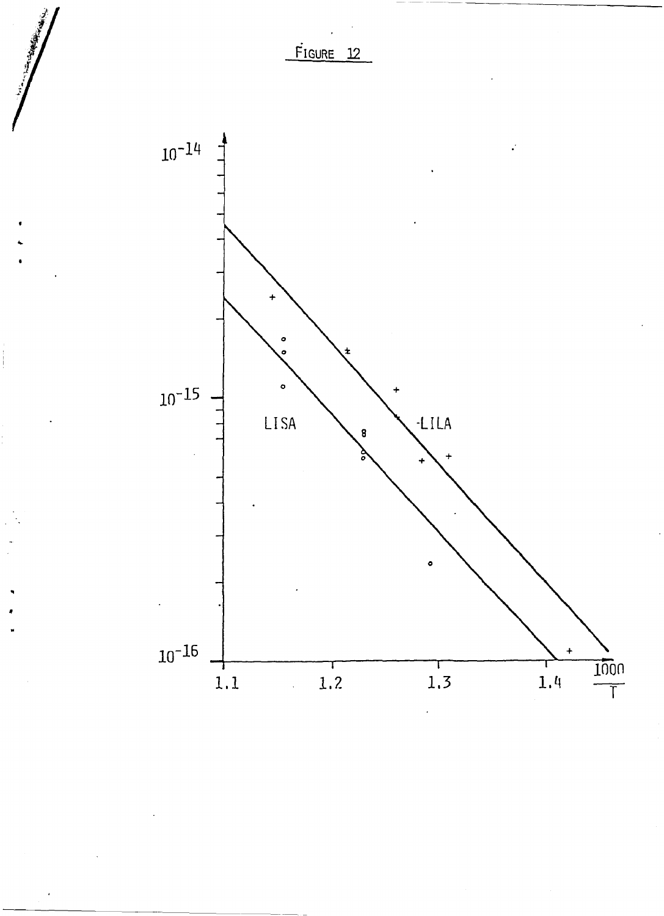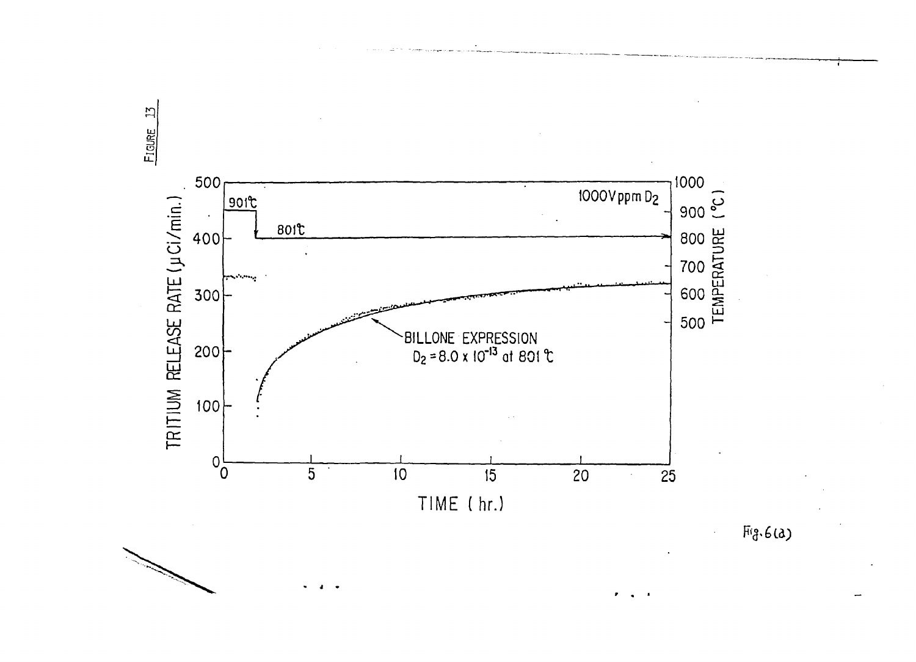

 $Fig.6(a)$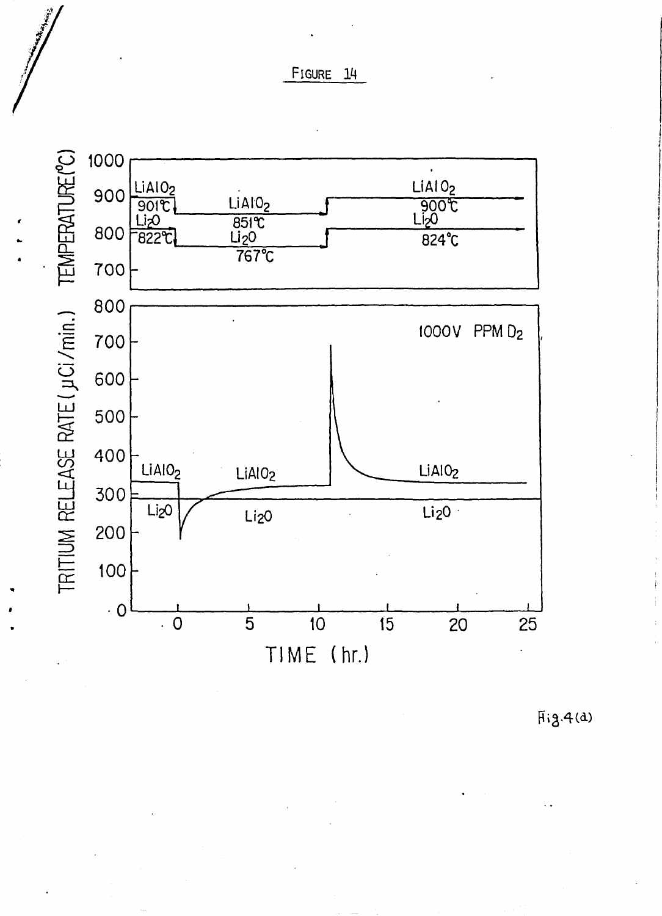FIGURE 14



 $Fig.4(a)$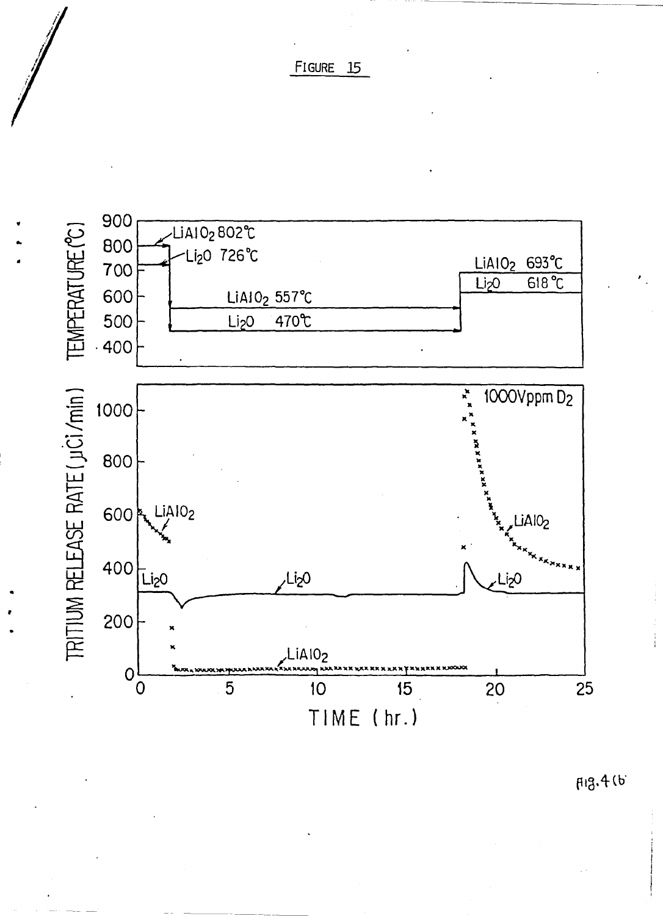FIGURE 15



F13.4 (b)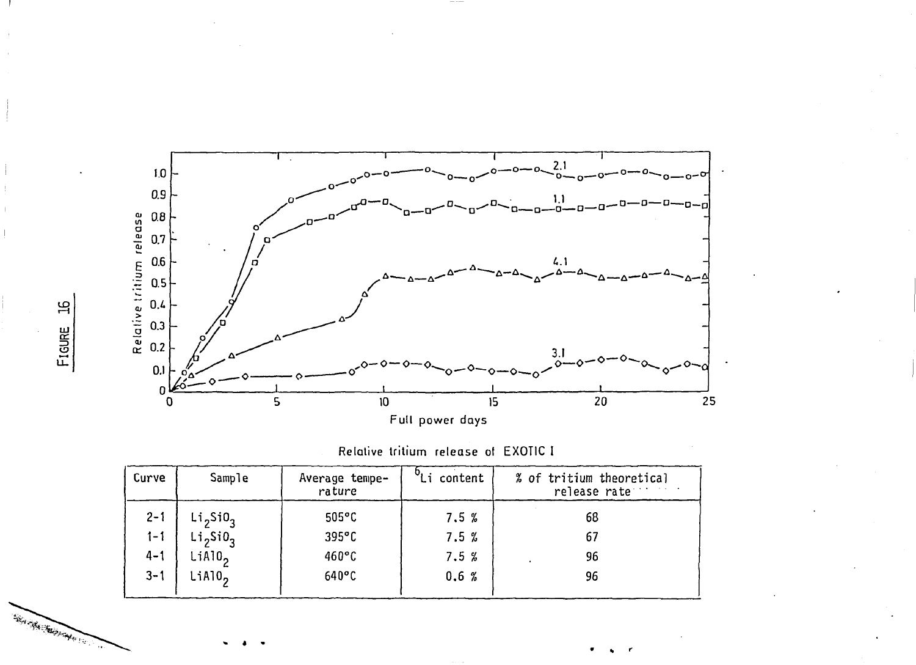

Relative tritium release of EXOTIC I

| Curve   | Sample                           | Average tempe-<br>rature | Li content | % of tritium theoretical<br>release rate |
|---------|----------------------------------|--------------------------|------------|------------------------------------------|
| $2 - 1$ | Li <sub>2</sub> SiO <sub>3</sub> | $505^{\circ}$ C          | 7.5%       | 68                                       |
| $1 - 1$ | Li <sub>2</sub> SiO <sub>3</sub> | $395^{\circ}$ C          | 7.5%       | 67                                       |
| $4 - 1$ | LiAlO <sub>2</sub>               | $460^{\circ}$ C          | 7.5%       | 96                                       |
| $3 - 1$ | LiAlO <sub>2</sub>               | $640^{\circ}$ C          | 0.6%       | 96                                       |

 $\mathfrak{g}$ FIGURE

We Hadden Harry of Carpenter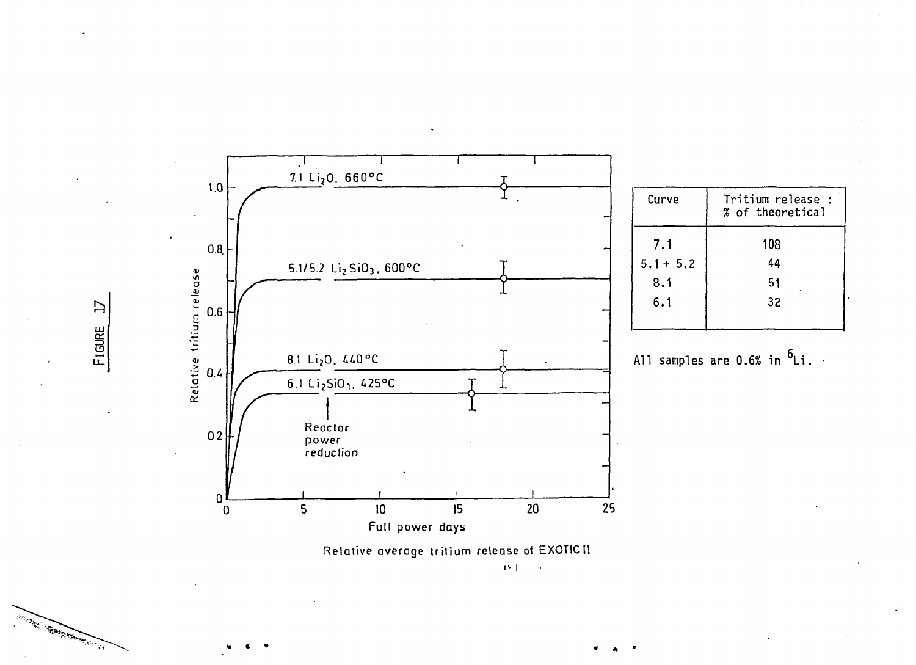

**> •• I**   $\sim 10$ 

*<m* **• » \* \*** 

 $\mathbf{L}$ FIGURE

Anti- Sales Manument of Capital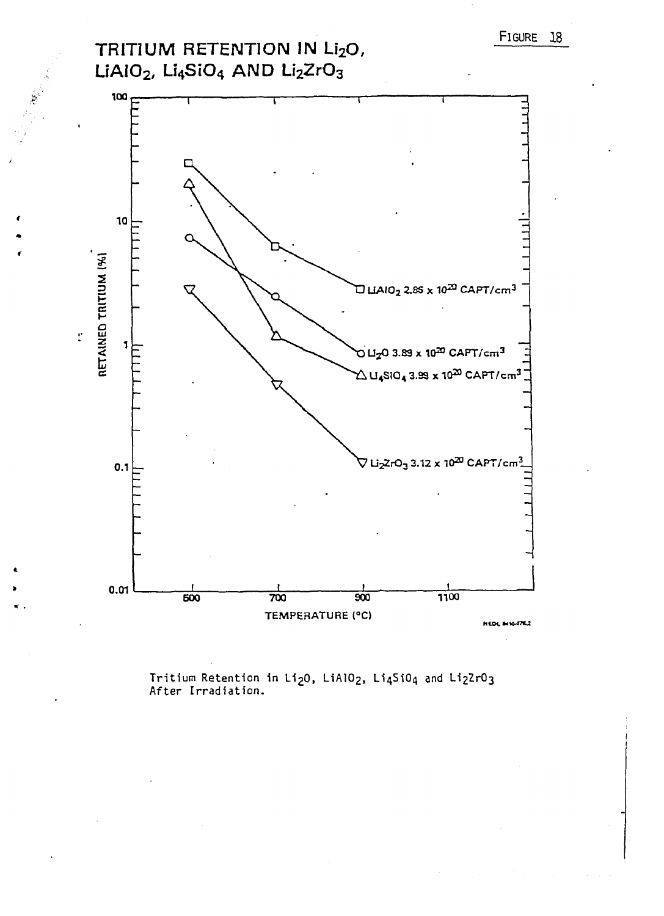TRITIUM RETENTION IN Li<sub>2</sub>O, LiAIO<sub>2</sub>, Li<sub>4</sub>SiO<sub>4</sub> AND Li<sub>2</sub>ZrO<sub>3</sub>



Tritium Retention in Li<sub>2</sub>0, LiAlO<sub>2</sub>, Li<sub>4</sub>SiO<sub>4</sub> and Li<sub>2</sub>ZrO<sub>3</sub><br>After Irradiation.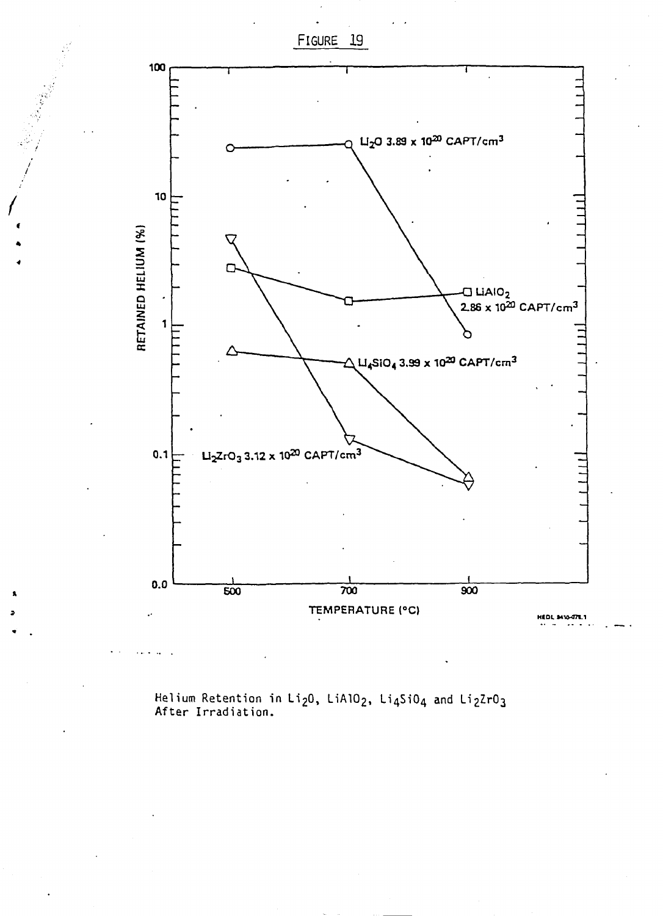

**Helium Retention in Li20, UAIO2, Li4SiC>4 and Li2ZrÛ3 After Irradiation.** 

FIGURE 19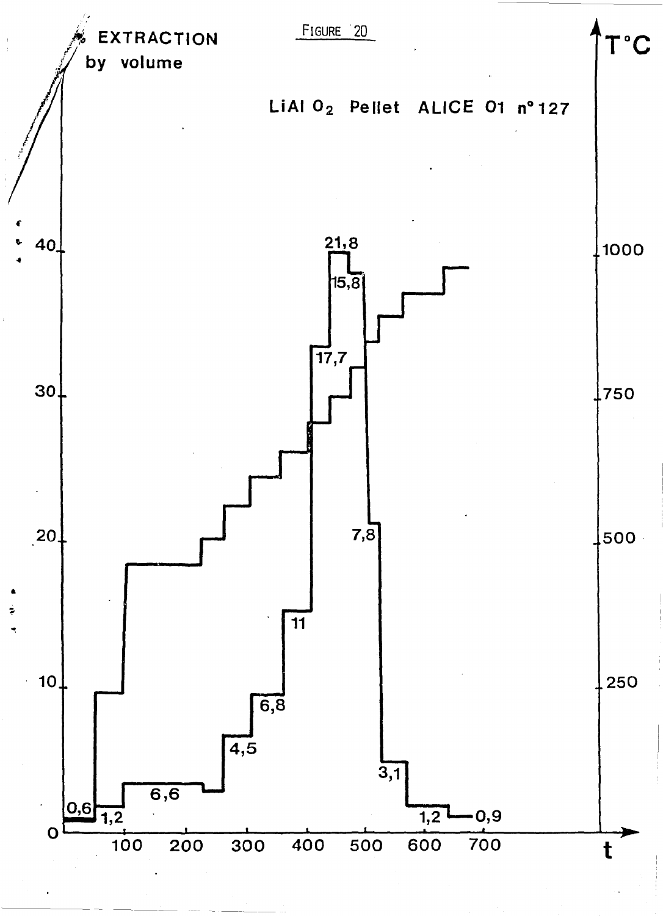![](_page_34_Figure_0.jpeg)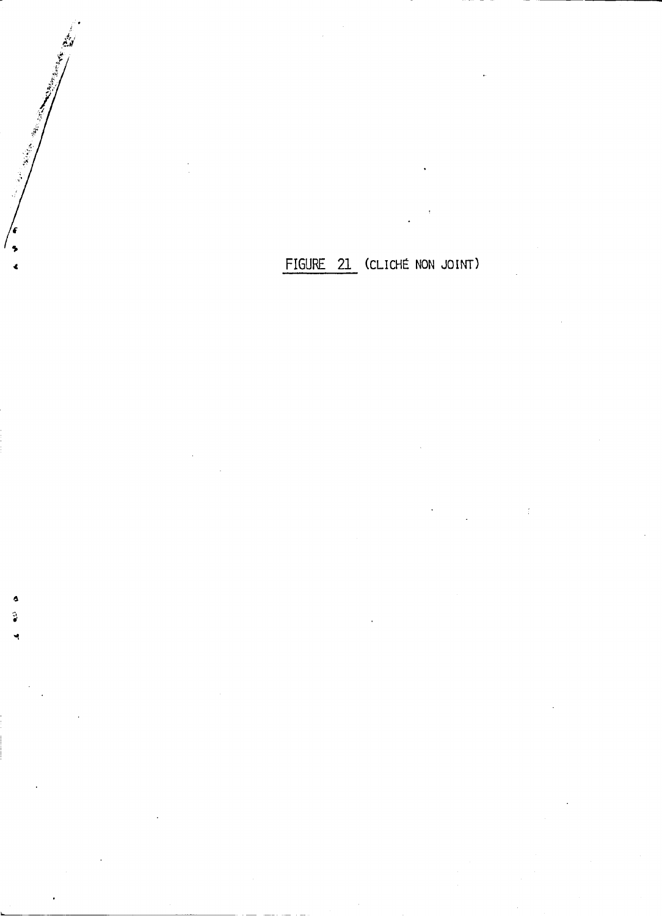FIGURE 21 (CLICHE NON JOINT)

 $\epsilon$  $\ddot{\phantom{0}}$ 

¢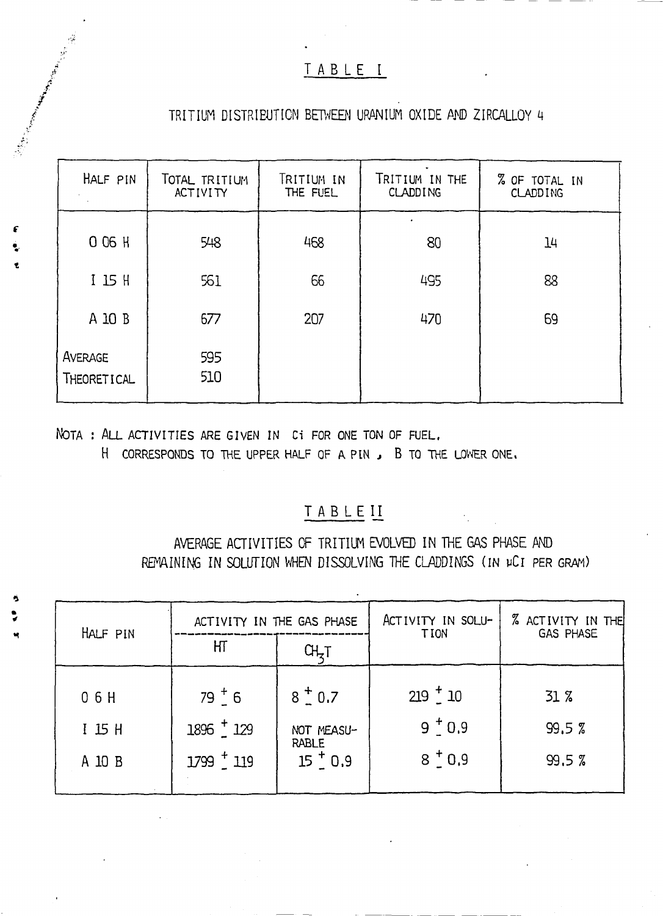## TABLEI

## TRITIUM DISTRIEUTION BETWEEN URANIUM OXIDE AND ZIRCALLOY 4

| HALF PIN               | TOTAL TRITIUM<br><b>ACTIVITY</b> | TRITIUM IN<br>THE FUEL | TRITIUM IN THE<br><b>CLADDING</b> | % OF TOTAL IN<br><b>CLADDING</b> |
|------------------------|----------------------------------|------------------------|-----------------------------------|----------------------------------|
| 0 06 H                 | 548                              | 468                    | 80                                | 14                               |
| $I$ 15 H               | 561                              | 66                     | 495                               | 88                               |
| A 10 B                 | 677                              | 207                    | 470                               | 69                               |
| AVERAGE<br>THEORETICAL | 595<br>510                       |                        |                                   |                                  |

NOTA : ALL ACTIVITIES ARE GIVEN IN CI FOR ONE TON OF FUEL.

H CORRESPONDS TO THE UPPER HALF OF A PIN, B TO THE LOWER ONE.

## TABLEII

AVERAGE ACTIVITIES OF TRITIUM EVOLVED IN THE GAS PHASE AND REMAINING IN SOLUTION WHEN DISSOLVING THE CLADDINGS (IN µCI PER GRAM)

|            | ACTIVITY IN THE GAS PHASE |                            | ACTIVITY IN SOLU- | <b>% ACTIVITY IN THE</b> |  |
|------------|---------------------------|----------------------------|-------------------|--------------------------|--|
| HALF PIN   | ΗТ<br>ᢗᡰᢩᢩᡏ               |                            | <b>TION</b>       | GAS PHASE                |  |
| 06H        | $79^{+}_{-}6$             | $8^{+}_{-}$ 0.7            | $219 - 10$        | $31\%$                   |  |
| $I$ 15 $H$ | $1896 - 129$              | NOT MEASU-<br><b>RABLE</b> | $9^{+}0.9$        | 99.5%                    |  |
| A 10 B     | $1799 - 119$              | $15 \frac{1}{2} 0.9$       | $8^{+}0.9$        | 99.5%                    |  |
|            |                           |                            |                   |                          |  |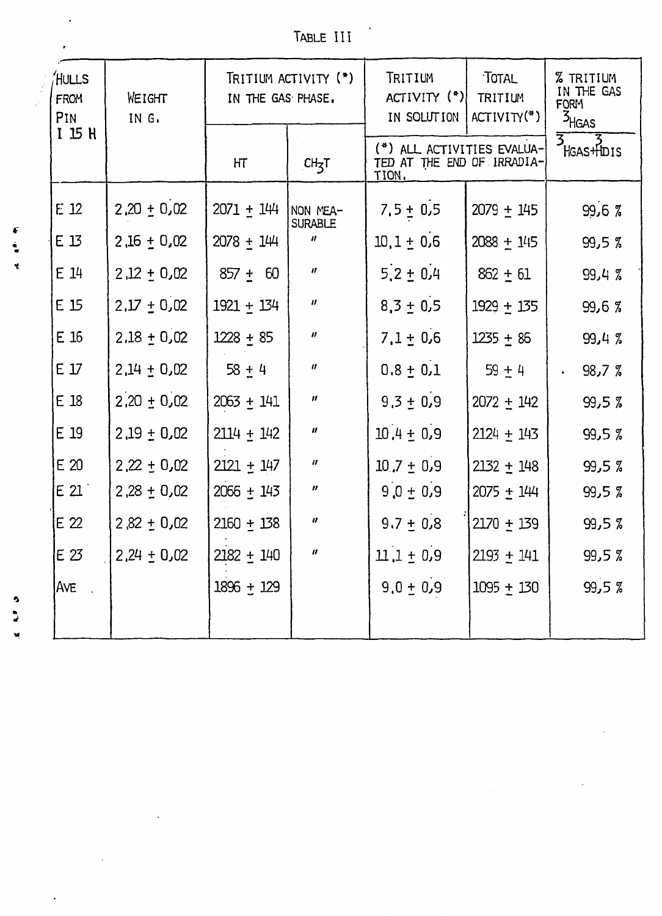TABLE III

| HULLS<br><b>FROM</b><br>PIN | WEIGHT<br>IN G. | TRITIUM ACTIVITY (*)<br>IN THE GAS PHASE. |                            | TRITIUM<br>$ACTIVITY$ $(*)$<br>IN SOLUTION                        | TOTAL<br>TRITIUM<br>$ACTIVITY(*)$ | <b>% TRITIUM</b><br>IN THE GAS<br><b>FORM</b><br>$\frac{3}{16}$ AS                                                                                                                                                                                                                                                                                                                   |
|-----------------------------|-----------------|-------------------------------------------|----------------------------|-------------------------------------------------------------------|-----------------------------------|--------------------------------------------------------------------------------------------------------------------------------------------------------------------------------------------------------------------------------------------------------------------------------------------------------------------------------------------------------------------------------------|
| $I$ $I$ $H$                 |                 | HT                                        | CH <sub>z</sub> T          | (*) ALL ACTIVITIES EVALUA-<br>TED AT THE END OF IRRADIA-<br>TION. |                                   | $\overline{3}$ $\overline{7}$ $\overline{7}$ $\overline{7}$ $\overline{1}$ $\overline{5}$ $\overline{1}$ $\overline{5}$ $\overline{1}$ $\overline{2}$ $\overline{1}$ $\overline{5}$ $\overline{1}$ $\overline{2}$ $\overline{1}$ $\overline{5}$ $\overline{1}$ $\overline{2}$ $\overline{1}$ $\overline{2}$ $\overline{1}$ $\overline{2}$ $\overline{3}$ $\overline{1}$ $\overline{$ |
| $E_1$ 12                    | $2,20 \pm 0,02$ | $2071 + 144$                              | NON MEA-<br><b>SURABLE</b> | $7.5 \pm 0.5$                                                     | $2079 \pm 145$                    | 99,6%                                                                                                                                                                                                                                                                                                                                                                                |
| E 13                        | $2,16 + 0,02$   | $2078 + 144$                              | $\boldsymbol{\mu}$         | $10.1 \pm 0.6$                                                    | $2088 + 145$                      | 99,5%                                                                                                                                                                                                                                                                                                                                                                                |
| $E_1$ $14$                  | $2,12 \pm 0,02$ | $857 \pm 60$                              | $\boldsymbol{\mathit{II}}$ | $5.2 \pm 0.4$                                                     | $862 \pm 61$                      | 99,4%                                                                                                                                                                                                                                                                                                                                                                                |
| $E_1$ 15                    | $2.17 \pm 0.02$ | $1921 + 134$                              | $\boldsymbol{\mathit{u}}$  | $8,3 \pm 0.5$                                                     | $1929 + 135$                      | 99,6%                                                                                                                                                                                                                                                                                                                                                                                |
| E16                         | $2.18 \pm 0.02$ | $1228 + 85$                               | $\boldsymbol{\mathit{II}}$ | $7.1 \pm 0.6$                                                     | $1235 + 86$                       | 99,4%                                                                                                                                                                                                                                                                                                                                                                                |
| $E_1$                       | $2,14 + 0,02$   | $58 + 4$                                  | $\boldsymbol{u}$           | $0.8 + 0.1$                                                       | $59 + 4$                          | 98,7%                                                                                                                                                                                                                                                                                                                                                                                |
| E 18                        | $2,20 \pm 0,02$ | $2063 + 141$                              | $\boldsymbol{\mathit{H}}$  | $9.3 \pm 0.9$                                                     | $2072 + 142$                      | 99,5%                                                                                                                                                                                                                                                                                                                                                                                |
| E 19                        | $2,19 \pm 0.02$ | $2114 + 142$                              | $\boldsymbol{\mathcal{H}}$ | $10.4 \pm 0.9$                                                    | $2124 + 143$                      | 99,5%                                                                                                                                                                                                                                                                                                                                                                                |
| E20                         | $2,22 \pm 0.02$ | $2121 + 147$                              | $\boldsymbol{\eta}$        | $10.7 \pm 0.9$                                                    | $2132 + 148$                      | 99,5%                                                                                                                                                                                                                                                                                                                                                                                |
| E21                         | $2,28 \pm 0,02$ | $2066 + 143$                              | $\boldsymbol{\mathcal{U}}$ | $9.0 \pm 0.9$                                                     | $2075 + 144$                      | 99,57                                                                                                                                                                                                                                                                                                                                                                                |
| E <sub>22</sub>             | $2,82 \pm 0,02$ | $2160 + 138$                              | 11                         | $9.7 \pm 0.8$                                                     | $2170 + 139$                      | 99,5%                                                                                                                                                                                                                                                                                                                                                                                |
| E 23                        | $2,24 \pm 0,02$ | $2182 + 140$                              | $\boldsymbol{u}$           | $11.1 \pm 0.9$                                                    | $2193 + 141$                      | 99,5%                                                                                                                                                                                                                                                                                                                                                                                |
| <b>AVE</b>                  |                 | $1896 + 129$                              |                            | $9.0 + 0.9$                                                       | $1095 + 130$                      | 99,5%                                                                                                                                                                                                                                                                                                                                                                                |
|                             |                 |                                           |                            |                                                                   |                                   |                                                                                                                                                                                                                                                                                                                                                                                      |

 $\epsilon$  $\ddot{\bullet}$ 

Ý.

و ب  $\blacksquare$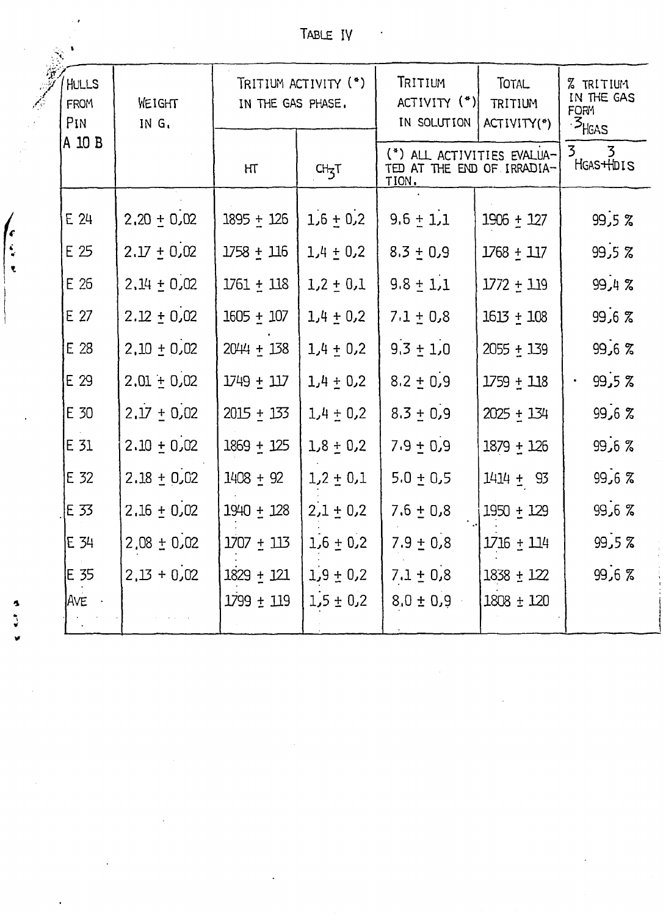| TABLE IV |  |  |
|----------|--|--|
|          |  |  |

|                             |                             |                 |                                           | TABLE IV             |                                              |                                        |                                                                      |
|-----------------------------|-----------------------------|-----------------|-------------------------------------------|----------------------|----------------------------------------------|----------------------------------------|----------------------------------------------------------------------|
|                             | HULLS<br><b>FROM</b><br>PIN | WEIGHT<br>IN G. | TRITIUM ACTIVITY (*)<br>IN THE GAS PHASE. |                      | TRITIUM<br>ACTIVITY (*)<br>IN SOLUTION       | <b>TOTAL</b><br>TRITIUM<br>ACTIVITY(*) | <b>% TRITIUM</b><br>IN THE GAS<br><b>FORM</b><br>· <sup>3</sup> HGAS |
|                             | A 10 B                      |                 | HT                                        | $CH_{\overline{3}}T$ | $(*)$<br>TED AT THE END OF IRRADIA-<br>TION. | ALL ACTIVITIES EVALUA-                 | 3<br>$\overline{3}$<br>HGAS+HDIS                                     |
|                             | E 24                        | $2.20 \pm 0.02$ | $1895 + 126$                              | $1,6 + 0,2$          | $9.6 \pm 1.1$                                | $1906 + 127$                           | $99,5$ $%$                                                           |
| $\int_{\frac{\epsilon}{2}}$ | E 25                        | $2.17 \pm 0.02$ | $1758 + 116$                              | $1,4 \pm 0.2$        | $8.3 + 0.9$                                  | $1768 + 117$                           | $99,5$ $%$                                                           |
| 电                           | E 26                        | $2.14 \pm 0.02$ | $1761 \pm 118$                            | $1,2 \pm 0.1$        | $9.8 \pm 1.1$                                | $1772 + 119$                           | 99,4%                                                                |
|                             | E 27                        | $2.12 \pm 0.02$ | $1605 + 107$                              | $1,4 \pm 0,2$        | $7.1 \pm 0.8$                                | $1613 + 108$                           | 99,67                                                                |
|                             | E 28                        | $2,10 \pm 0.02$ | $2044 \pm 138$                            | $1,4 \pm 0.2$        | $9.3 \pm 1.0$                                | $2055 + 139$                           | $99,6$ $\%$                                                          |
|                             | E 29                        | $2.01 + 0.02$   | $1749 + 117$                              | $1,4 \pm 0.2$        | $8.2 \pm 0.9$                                | $1759 + 118$                           | 99,5%                                                                |
|                             | E 30                        | $2.17 \pm 0.02$ | $2015 + 133$                              | $1,4 \pm 0.2$        | $8.3 \pm 0.9$                                | $2025 + 134$                           | 99,67                                                                |
|                             | E 31                        | $2.10 \pm 0.02$ | $1869 + 125$                              | $1,8 \pm 0.2$        | $7.9 + 0.9$                                  | $1879 + 126$                           | 99,67                                                                |
|                             | E 32                        | $2.18 \pm 0.02$ | $1408 + 92$                               | $1,2 \pm 0,1$        | $5.0 \pm 0.5$                                | $1414 \pm 93$                          | 99,67                                                                |
|                             | E 33                        | $2.16 \pm 0.02$ | $1940 \pm 128$                            | $2,1 \pm 0.2$        | $7.6 \pm 0.8$                                | $1950 + 129$                           | 99,67                                                                |
|                             | $E$ 34                      | $2,08 \pm 0,02$ | $1707 + 113$                              | $1,6 + 0,2$          | $7.9 \pm 0.8$                                | $1716 + 114$                           | 99,5%                                                                |
|                             | E 35                        | $2,13 + 0,02$   | $1829 + 121$                              | $1,9 \pm 0.2$        | $7.1 \pm 0.8$                                | 1838 ± 122                             | 99,6%                                                                |
|                             | Ave ·                       |                 | $1799 \pm 119$                            | $1.5 \pm 0.2$        | $8.0 \pm 0.9$                                | $1808 \pm 120$                         |                                                                      |

 $\label{eq:2.1} \frac{1}{\sqrt{2}}\int_{\mathbb{R}^3}\frac{1}{\sqrt{2}}\left(\frac{1}{\sqrt{2}}\right)^2\frac{1}{\sqrt{2}}\left(\frac{1}{\sqrt{2}}\right)^2\frac{1}{\sqrt{2}}\left(\frac{1}{\sqrt{2}}\right)^2\frac{1}{\sqrt{2}}\left(\frac{1}{\sqrt{2}}\right)^2.$ 

 $\label{eq:2} \frac{1}{\sqrt{2}}\sum_{i=1}^n\frac{1}{\sqrt{2}}\sum_{j=1}^n\frac{1}{j!}\sum_{j=1}^n\frac{1}{j!}\sum_{j=1}^n\frac{1}{j!}\sum_{j=1}^n\frac{1}{j!}\sum_{j=1}^n\frac{1}{j!}\sum_{j=1}^n\frac{1}{j!}\sum_{j=1}^n\frac{1}{j!}\sum_{j=1}^n\frac{1}{j!}\sum_{j=1}^n\frac{1}{j!}\sum_{j=1}^n\frac{1}{j!}\sum_{j=1}^n\frac{1}{j!}\sum_{j=1}^$ 

 $\label{eq:2.1} \frac{1}{2}\sum_{i=1}^n\frac{1}{2}\sum_{j=1}^n\frac{1}{2}\sum_{j=1}^n\frac{1}{2}\sum_{j=1}^n\frac{1}{2}\sum_{j=1}^n\frac{1}{2}\sum_{j=1}^n\frac{1}{2}\sum_{j=1}^n\frac{1}{2}\sum_{j=1}^n\frac{1}{2}\sum_{j=1}^n\frac{1}{2}\sum_{j=1}^n\frac{1}{2}\sum_{j=1}^n\frac{1}{2}\sum_{j=1}^n\frac{1}{2}\sum_{j=1}^n\frac{1}{2}\sum_{j=1}^n\$ 

 $\mathcal{L}(\mathcal{L}^{\text{max}}_{\mathcal{L}})$  , where  $\mathcal{L}^{\text{max}}_{\mathcal{L}}$ 

 $\label{eq:2.1} \frac{1}{2} \int_{\mathbb{R}^3} \left| \frac{d\mu}{d\mu} \right|^2 \, d\mu = \frac{1}{2} \int_{\mathbb{R}^3} \left| \frac{d\mu}{d\mu} \right|^2 \, d\mu = \frac{1}{2} \int_{\mathbb{R}^3} \left| \frac{d\mu}{d\mu} \right|^2 \, d\mu.$ 

 $\label{eq:2.1} \mathcal{L}(\mathcal{L}^{\text{max}}_{\mathcal{L}}(\mathcal{L}^{\text{max}}_{\mathcal{L}}),\mathcal{L}^{\text{max}}_{\mathcal{L}^{\text{max}}_{\mathcal{L}}(\mathcal{L}^{\text{max}}_{\mathcal{L}^{\text{max}}_{\mathcal{L}^{\text{max}}_{\mathcal{L}^{\text{max}}_{\mathcal{L}^{\text{max}}_{\mathcal{L}^{\text{max}}_{\mathcal{L}^{\text{max}}_{\mathcal{L}^{\text{max}}_{\mathcal{L}^{\text{max}}_{\mathcal{L}^{\text{max}}_{\mathcal{$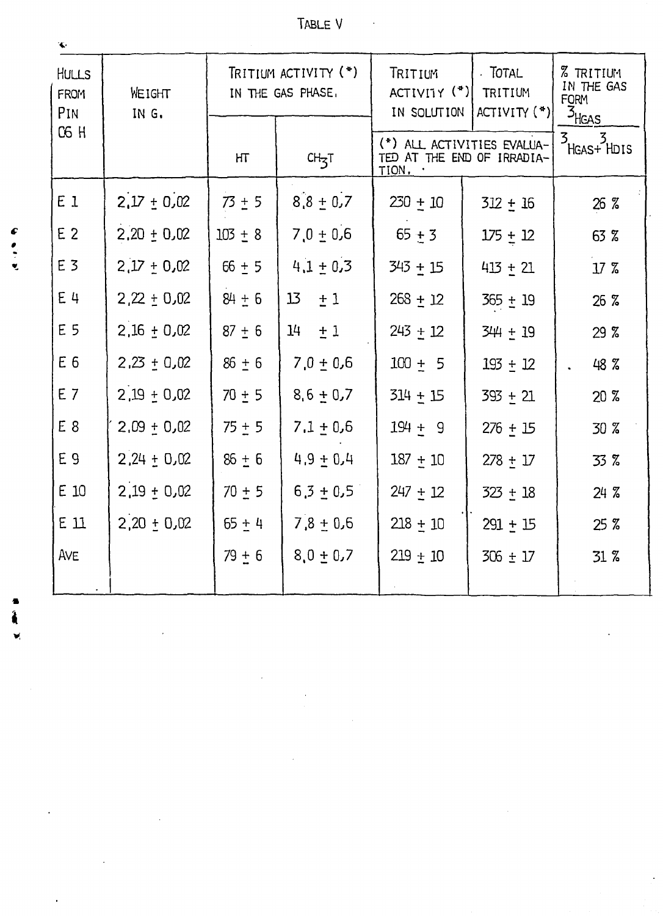| <b>HULLS</b><br><b>FROM</b><br>PIN | WEIGHT<br>IN G. | TRITIUM ACTIVITY (*)<br>IN THE GAS PHASE, |                       | . TOTAL<br>TRITIUM<br>$ACTIVI1Y$ $(*)$<br>TRITIUM<br>$ACTIVITY (*)$<br>IN SOLUTION |              | <b>% TRITIUM</b><br>IN THE GAS<br><b>FORM</b><br>$\frac{3}{1645}$ |
|------------------------------------|-----------------|-------------------------------------------|-----------------------|------------------------------------------------------------------------------------|--------------|-------------------------------------------------------------------|
| <b>C6 H</b>                        |                 | HТ                                        | $CH_{\overline{3}}T$  | (*) ALL ACTIVITIES EVALUA-<br>TED AT THE END OF IRRADIA-<br>TION.                  |              | ;  3<br>HGAS+ HDIS<br>3.                                          |
| E 1                                | $2.17 \pm 0.02$ | $73 \pm 5$                                | $8.8 \pm 0.7$         | $230 + 10$                                                                         | $312 + 16$   | 26 %                                                              |
| E <sub>2</sub>                     | $2.20 \pm 0.02$ | $103 + 8$                                 | $7.0 \pm 0.6$         | $65 + 3$                                                                           | $175 \pm 12$ | 63 %                                                              |
| E 3                                | $2,17 + 0,02$   | $66 + 5$                                  | $4.1 \pm 0.3$         | 343 + 15                                                                           | $413 + 21$   | 17 <sub>z</sub>                                                   |
| $E$ 4                              | $2,22 \pm 0.02$ | $84 + 6$                                  | 13<br>±1              | $268 + 12$                                                                         | $365 + 19$   | 26 <sub>5</sub>                                                   |
| E 5                                | $2,16 + 0.02$   | $87 + 6$                                  | 14 <sub>1</sub><br>±1 | $243 \pm 12$                                                                       | 344 ± 19     | 29 <sup>7</sup>                                                   |
| E <sub>6</sub>                     | $2,23 \pm 0,02$ | $86 \pm 6$                                | $7.0 \pm 0.6$         | $100 + 5$                                                                          | $193 + 12$   | 48 %                                                              |
| E <sub>7</sub>                     | $2,19 + 0,02$   | $70 + 5$                                  | $8,6 \pm 0.7$         | $314 + 15$                                                                         | 393 + 21     | 20 <sub>2</sub>                                                   |
| E <sub>8</sub>                     | $2,09 + 0,02$   | $75 + 5$                                  | $7.1 + 0.6$           | $194 + 9$                                                                          | $276 + 15$   | 30 %                                                              |
| E 9                                | $2,24 + 0,02$   | $86 + 6$                                  | $4.9 + 0.4$           | $187 + 10$                                                                         | $278 \pm 17$ | 33.7                                                              |
| E 10                               | $2,19 \pm 0,02$ | $70 + 5$                                  | $6,3 \pm 0.5$         | $247 + 12$                                                                         | $323 + 18$   | $24 \, 7$                                                         |
| $E_1$ $11$                         | $2,20 \pm 0.02$ | $65 + 4$                                  | $7,8 + 0,6$           | $218 + 10$                                                                         | $291 + 15$   | 25 <sub>8</sub>                                                   |
| AVE                                |                 | $79 + 6$                                  | $8.0 \pm 0.7$         | $219 \pm 10$                                                                       | $306 \pm 17$ | 31.7                                                              |
|                                    |                 |                                           |                       |                                                                                    |              |                                                                   |

 $\label{eq:2.1} \mathcal{L}=\mathcal{L}(\mathcal{L}^{\mathcal{L}}(\mathcal{L}^{\mathcal{L}}(\mathcal{L}^{\mathcal{L}}(\mathcal{L}^{\mathcal{L}}(\mathcal{L}^{\mathcal{L}}(\mathcal{L}^{\mathcal{L}}(\mathcal{L}^{\mathcal{L}}(\mathcal{L}^{\mathcal{L}}(\mathcal{L}^{\mathcal{L}}(\mathcal{L}^{\mathcal{L}}(\mathcal{L}^{\mathcal{L}}(\mathcal{L}^{\mathcal{L}}(\mathcal{L}^{\mathcal{L}}(\mathcal{L}^{\mathcal{L}}(\mathcal{L}^{\mathcal{L}}(\mathcal{$ 

 $\label{eq:2.1} \frac{1}{2} \sum_{i=1}^n \frac{1}{2} \sum_{j=1}^n \frac{1}{2} \sum_{j=1}^n \frac{1}{2} \sum_{j=1}^n \frac{1}{2} \sum_{j=1}^n \frac{1}{2} \sum_{j=1}^n \frac{1}{2} \sum_{j=1}^n \frac{1}{2} \sum_{j=1}^n \frac{1}{2} \sum_{j=1}^n \frac{1}{2} \sum_{j=1}^n \frac{1}{2} \sum_{j=1}^n \frac{1}{2} \sum_{j=1}^n \frac{1}{2} \sum_{j=1}^n \frac{$ 

 $\mathcal{L}^{\text{max}}_{\text{max}}$  , where  $\mathcal{L}^{\text{max}}_{\text{max}}$ 

 $\label{eq:2.1} \frac{1}{\sqrt{2}}\int_{0}^{\pi} \frac{1}{\sqrt{2\pi}}\left(\frac{1}{\sqrt{2\pi}}\right)^{2} \frac{1}{\sqrt{2\pi}}\int_{0}^{\pi}\frac{1}{\sqrt{2\pi}}\left(\frac{1}{\sqrt{2\pi}}\right)^{2} \frac{1}{\sqrt{2\pi}}\int_{0}^{\pi}\frac{1}{\sqrt{2\pi}}\frac{1}{\sqrt{2\pi}}\frac{1}{\sqrt{2\pi}}\frac{1}{\sqrt{2\pi}}\frac{1}{\sqrt{2\pi}}\frac{1}{\sqrt{2\pi}}\frac{1}{\sqrt{2\pi}}\frac{1$ 

 $\sim 10^6$ 

 $\frac{1}{2}$ 

 $rac{C}{\sigma}$ 

्री<br>अ